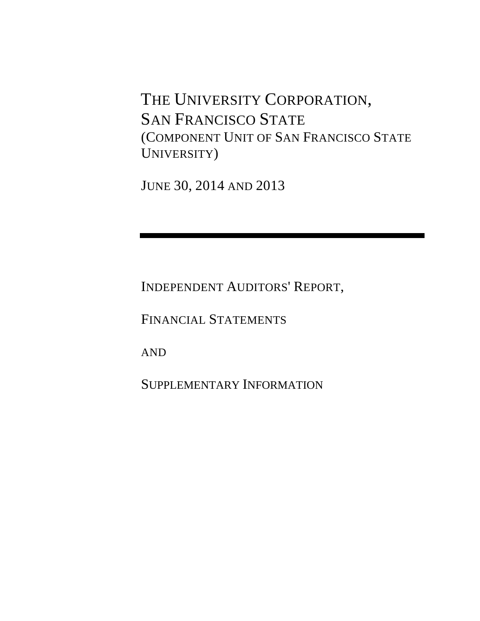THE UNIVERSITY CORPORATION, SAN FRANCISCO STATE (COMPONENT UNIT OF SAN FRANCISCO STATE UNIVERSITY)

JUNE 30, 2014 AND 2013

INDEPENDENT AUDITORS' REPORT,

FINANCIAL STATEMENTS

AND

SUPPLEMENTARY INFORMATION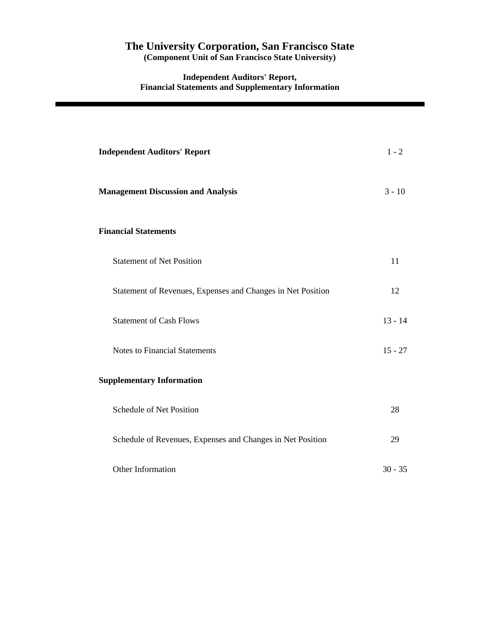# **The University Corporation, San Francisco State**

**(Component Unit of San Francisco State University)** 

# **Independent Auditors' Report, Financial Statements and Supplementary Information**

| <b>Independent Auditors' Report</b>                         | $1 - 2$   |
|-------------------------------------------------------------|-----------|
| <b>Management Discussion and Analysis</b>                   | $3 - 10$  |
| <b>Financial Statements</b>                                 |           |
| <b>Statement of Net Position</b>                            | 11        |
| Statement of Revenues, Expenses and Changes in Net Position | 12        |
| <b>Statement of Cash Flows</b>                              | $13 - 14$ |
| <b>Notes to Financial Statements</b>                        | $15 - 27$ |
| <b>Supplementary Information</b>                            |           |
| Schedule of Net Position                                    | 28        |
| Schedule of Revenues, Expenses and Changes in Net Position  | 29        |
| Other Information                                           | $30 - 35$ |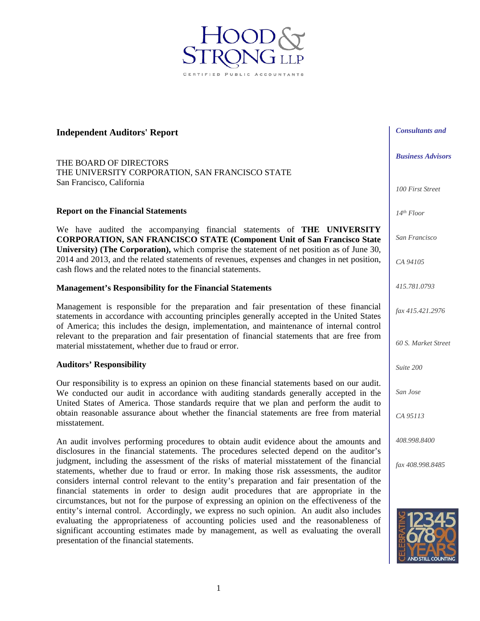# ED PUBLIC ACCOUNTAN

## **Independent Auditors' Report**

THE BOARD OF DIRECTORS THE UNIVERSITY CORPORATION, SAN FRANCISCO STATE San Francisco, California

#### **Report on the Financial Statements**

We have audited the accompanying financial statements of **THE UNIVERSITY CORPORATION, SAN FRANCISCO STATE (Component Unit of San Francisco State University) (The Corporation),** which comprise the statement of net position as of June 30, 2014 and 2013, and the related statements of revenues, expenses and changes in net position, cash flows and the related notes to the financial statements.

#### **Management's Responsibility for the Financial Statements**

Management is responsible for the preparation and fair presentation of these financial statements in accordance with accounting principles generally accepted in the United States of America; this includes the design, implementation, and maintenance of internal control relevant to the preparation and fair presentation of financial statements that are free from material misstatement, whether due to fraud or error.

#### **Auditors' Responsibility**

Our responsibility is to express an opinion on these financial statements based on our audit. We conducted our audit in accordance with auditing standards generally accepted in the United States of America. Those standards require that we plan and perform the audit to obtain reasonable assurance about whether the financial statements are free from material misstatement.

An audit involves performing procedures to obtain audit evidence about the amounts and disclosures in the financial statements. The procedures selected depend on the auditor's judgment, including the assessment of the risks of material misstatement of the financial statements, whether due to fraud or error. In making those risk assessments, the auditor considers internal control relevant to the entity's preparation and fair presentation of the financial statements in order to design audit procedures that are appropriate in the circumstances, but not for the purpose of expressing an opinion on the effectiveness of the entity's internal control. Accordingly, we express no such opinion. An audit also includes evaluating the appropriateness of accounting policies used and the reasonableness of significant accounting estimates made by management, as well as evaluating the overall presentation of the financial statements.



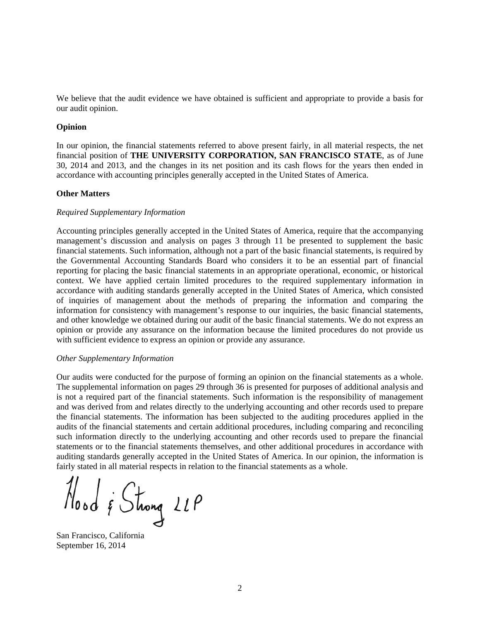We believe that the audit evidence we have obtained is sufficient and appropriate to provide a basis for our audit opinion.

#### **Opinion**

In our opinion, the financial statements referred to above present fairly, in all material respects, the net financial position of **THE UNIVERSITY CORPORATION, SAN FRANCISCO STATE**, as of June 30, 2014 and 2013, and the changes in its net position and its cash flows for the years then ended in accordance with accounting principles generally accepted in the United States of America.

#### **Other Matters**

#### *Required Supplementary Information*

Accounting principles generally accepted in the United States of America, require that the accompanying management's discussion and analysis on pages 3 through 11 be presented to supplement the basic financial statements. Such information, although not a part of the basic financial statements, is required by the Governmental Accounting Standards Board who considers it to be an essential part of financial reporting for placing the basic financial statements in an appropriate operational, economic, or historical context. We have applied certain limited procedures to the required supplementary information in accordance with auditing standards generally accepted in the United States of America, which consisted of inquiries of management about the methods of preparing the information and comparing the information for consistency with management's response to our inquiries, the basic financial statements, and other knowledge we obtained during our audit of the basic financial statements. We do not express an opinion or provide any assurance on the information because the limited procedures do not provide us with sufficient evidence to express an opinion or provide any assurance.

#### *Other Supplementary Information*

Our audits were conducted for the purpose of forming an opinion on the financial statements as a whole. The supplemental information on pages 29 through 36 is presented for purposes of additional analysis and is not a required part of the financial statements. Such information is the responsibility of management and was derived from and relates directly to the underlying accounting and other records used to prepare the financial statements. The information has been subjected to the auditing procedures applied in the audits of the financial statements and certain additional procedures, including comparing and reconciling such information directly to the underlying accounting and other records used to prepare the financial statements or to the financial statements themselves, and other additional procedures in accordance with auditing standards generally accepted in the United States of America. In our opinion, the information is fairly stated in all material respects in relation to the financial statements as a whole.

Nood & Strong 22P

San Francisco, California September 16, 2014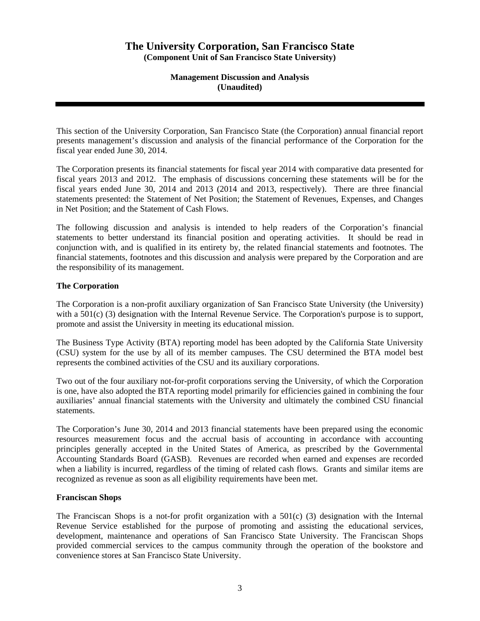## **Management Discussion and Analysis (Unaudited)**

This section of the University Corporation, San Francisco State (the Corporation) annual financial report presents management's discussion and analysis of the financial performance of the Corporation for the fiscal year ended June 30, 2014.

The Corporation presents its financial statements for fiscal year 2014 with comparative data presented for fiscal years 2013 and 2012. The emphasis of discussions concerning these statements will be for the fiscal years ended June 30, 2014 and 2013 (2014 and 2013, respectively). There are three financial statements presented: the Statement of Net Position; the Statement of Revenues, Expenses, and Changes in Net Position; and the Statement of Cash Flows.

The following discussion and analysis is intended to help readers of the Corporation's financial statements to better understand its financial position and operating activities. It should be read in conjunction with, and is qualified in its entirety by, the related financial statements and footnotes. The financial statements, footnotes and this discussion and analysis were prepared by the Corporation and are the responsibility of its management.

#### **The Corporation**

The Corporation is a non-profit auxiliary organization of San Francisco State University (the University) with a 501(c) (3) designation with the Internal Revenue Service. The Corporation's purpose is to support, promote and assist the University in meeting its educational mission.

The Business Type Activity (BTA) reporting model has been adopted by the California State University (CSU) system for the use by all of its member campuses. The CSU determined the BTA model best represents the combined activities of the CSU and its auxiliary corporations.

Two out of the four auxiliary not-for-profit corporations serving the University, of which the Corporation is one, have also adopted the BTA reporting model primarily for efficiencies gained in combining the four auxiliaries' annual financial statements with the University and ultimately the combined CSU financial statements.

The Corporation's June 30, 2014 and 2013 financial statements have been prepared using the economic resources measurement focus and the accrual basis of accounting in accordance with accounting principles generally accepted in the United States of America, as prescribed by the Governmental Accounting Standards Board (GASB). Revenues are recorded when earned and expenses are recorded when a liability is incurred, regardless of the timing of related cash flows. Grants and similar items are recognized as revenue as soon as all eligibility requirements have been met.

#### **Franciscan Shops**

The Franciscan Shops is a not-for profit organization with a  $501(c)$  (3) designation with the Internal Revenue Service established for the purpose of promoting and assisting the educational services, development, maintenance and operations of San Francisco State University. The Franciscan Shops provided commercial services to the campus community through the operation of the bookstore and convenience stores at San Francisco State University.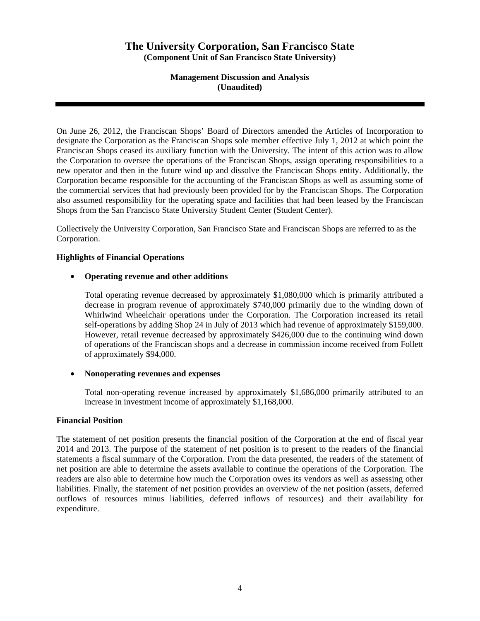## **Management Discussion and Analysis (Unaudited)**

On June 26, 2012, the Franciscan Shops' Board of Directors amended the Articles of Incorporation to designate the Corporation as the Franciscan Shops sole member effective July 1, 2012 at which point the Franciscan Shops ceased its auxiliary function with the University. The intent of this action was to allow the Corporation to oversee the operations of the Franciscan Shops, assign operating responsibilities to a new operator and then in the future wind up and dissolve the Franciscan Shops entity. Additionally, the Corporation became responsible for the accounting of the Franciscan Shops as well as assuming some of the commercial services that had previously been provided for by the Franciscan Shops. The Corporation also assumed responsibility for the operating space and facilities that had been leased by the Franciscan Shops from the San Francisco State University Student Center (Student Center).

Collectively the University Corporation, San Francisco State and Franciscan Shops are referred to as the Corporation.

#### **Highlights of Financial Operations**

#### • **Operating revenue and other additions**

Total operating revenue decreased by approximately \$1,080,000 which is primarily attributed a decrease in program revenue of approximately \$740,000 primarily due to the winding down of Whirlwind Wheelchair operations under the Corporation. The Corporation increased its retail self-operations by adding Shop 24 in July of 2013 which had revenue of approximately \$159,000. However, retail revenue decreased by approximately \$426,000 due to the continuing wind down of operations of the Franciscan shops and a decrease in commission income received from Follett of approximately \$94,000.

#### • **Nonoperating revenues and expenses**

Total non-operating revenue increased by approximately \$1,686,000 primarily attributed to an increase in investment income of approximately \$1,168,000.

#### **Financial Position**

The statement of net position presents the financial position of the Corporation at the end of fiscal year 2014 and 2013. The purpose of the statement of net position is to present to the readers of the financial statements a fiscal summary of the Corporation. From the data presented, the readers of the statement of net position are able to determine the assets available to continue the operations of the Corporation. The readers are also able to determine how much the Corporation owes its vendors as well as assessing other liabilities. Finally, the statement of net position provides an overview of the net position (assets, deferred outflows of resources minus liabilities, deferred inflows of resources) and their availability for expenditure.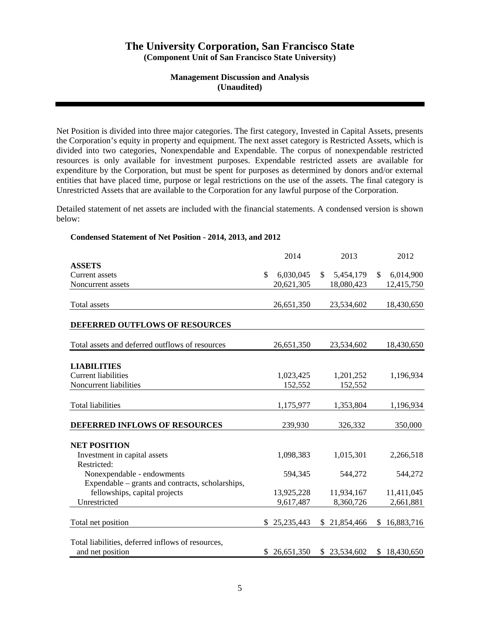## **Management Discussion and Analysis (Unaudited)**

Net Position is divided into three major categories. The first category, Invested in Capital Assets, presents the Corporation's equity in property and equipment. The next asset category is Restricted Assets, which is divided into two categories, Nonexpendable and Expendable. The corpus of nonexpendable restricted resources is only available for investment purposes. Expendable restricted assets are available for expenditure by the Corporation, but must be spent for purposes as determined by donors and/or external entities that have placed time, purpose or legal restrictions on the use of the assets. The final category is Unrestricted Assets that are available to the Corporation for any lawful purpose of the Corporation.

Detailed statement of net assets are included with the financial statements. A condensed version is shown below:

#### **Condensed Statement of Net Position - 2014, 2013, and 2012**

|                                                   |               | 2014         |              | 2013         |              | 2012       |
|---------------------------------------------------|---------------|--------------|--------------|--------------|--------------|------------|
| <b>ASSETS</b>                                     |               |              |              |              |              |            |
| Current assets                                    | $\mathcal{S}$ | 6,030,045    | $\mathbb{S}$ | 5,454,179    | $\mathbb{S}$ | 6,014,900  |
| Noncurrent assets                                 |               | 20,621,305   |              | 18,080,423   |              | 12,415,750 |
| Total assets                                      |               | 26,651,350   |              | 23,534,602   |              | 18,430,650 |
| <b>DEFERRED OUTFLOWS OF RESOURCES</b>             |               |              |              |              |              |            |
| Total assets and deferred outflows of resources   |               | 26,651,350   |              | 23,534,602   |              | 18,430,650 |
| <b>LIABILITIES</b>                                |               |              |              |              |              |            |
| <b>Current liabilities</b>                        |               | 1,023,425    |              | 1,201,252    |              | 1,196,934  |
| Noncurrent liabilities                            |               | 152,552      |              | 152,552      |              |            |
| <b>Total liabilities</b>                          |               | 1,175,977    |              | 1,353,804    |              | 1,196,934  |
| DEFERRED INFLOWS OF RESOURCES                     |               | 239,930      |              | 326,332      |              | 350,000    |
| <b>NET POSITION</b>                               |               |              |              |              |              |            |
| Investment in capital assets                      |               | 1,098,383    |              | 1,015,301    |              | 2,266,518  |
| Restricted:                                       |               |              |              |              |              |            |
| Nonexpendable - endowments                        |               | 594,345      |              | 544,272      |              | 544,272    |
| Expendable – grants and contracts, scholarships,  |               |              |              |              |              |            |
| fellowships, capital projects                     |               | 13,925,228   |              | 11,934,167   |              | 11,411,045 |
| Unrestricted                                      |               | 9,617,487    |              | 8,360,726    |              | 2,661,881  |
| Total net position                                |               | \$25,235,443 |              | \$21,854,466 | \$.          | 16,883,716 |
| Total liabilities, deferred inflows of resources, |               |              |              |              |              |            |
| and net position                                  |               | \$26,651,350 |              | \$23,534,602 | \$.          | 18,430,650 |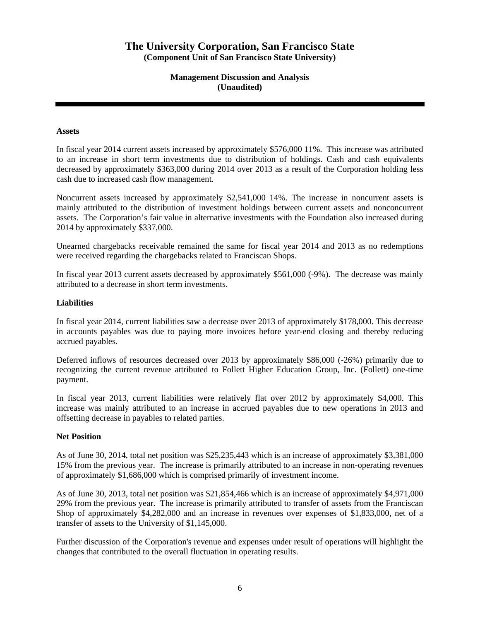## **Management Discussion and Analysis (Unaudited)**

#### **Assets**

In fiscal year 2014 current assets increased by approximately \$576,000 11%. This increase was attributed to an increase in short term investments due to distribution of holdings. Cash and cash equivalents decreased by approximately \$363,000 during 2014 over 2013 as a result of the Corporation holding less cash due to increased cash flow management.

Noncurrent assets increased by approximately \$2,541,000 14%. The increase in noncurrent assets is mainly attributed to the distribution of investment holdings between current assets and nonconcurrent assets. The Corporation's fair value in alternative investments with the Foundation also increased during 2014 by approximately \$337,000.

Unearned chargebacks receivable remained the same for fiscal year 2014 and 2013 as no redemptions were received regarding the chargebacks related to Franciscan Shops.

In fiscal year 2013 current assets decreased by approximately \$561,000 (-9%). The decrease was mainly attributed to a decrease in short term investments.

#### **Liabilities**

In fiscal year 2014, current liabilities saw a decrease over 2013 of approximately \$178,000. This decrease in accounts payables was due to paying more invoices before year-end closing and thereby reducing accrued payables.

Deferred inflows of resources decreased over 2013 by approximately \$86,000 (-26%) primarily due to recognizing the current revenue attributed to Follett Higher Education Group, Inc. (Follett) one-time payment.

In fiscal year 2013, current liabilities were relatively flat over 2012 by approximately \$4,000. This increase was mainly attributed to an increase in accrued payables due to new operations in 2013 and offsetting decrease in payables to related parties.

#### **Net Position**

As of June 30, 2014, total net position was \$25,235,443 which is an increase of approximately \$3,381,000 15% from the previous year. The increase is primarily attributed to an increase in non-operating revenues of approximately \$1,686,000 which is comprised primarily of investment income.

As of June 30, 2013, total net position was \$21,854,466 which is an increase of approximately \$4,971,000 29% from the previous year. The increase is primarily attributed to transfer of assets from the Franciscan Shop of approximately \$4,282,000 and an increase in revenues over expenses of \$1,833,000, net of a transfer of assets to the University of \$1,145,000.

Further discussion of the Corporation's revenue and expenses under result of operations will highlight the changes that contributed to the overall fluctuation in operating results.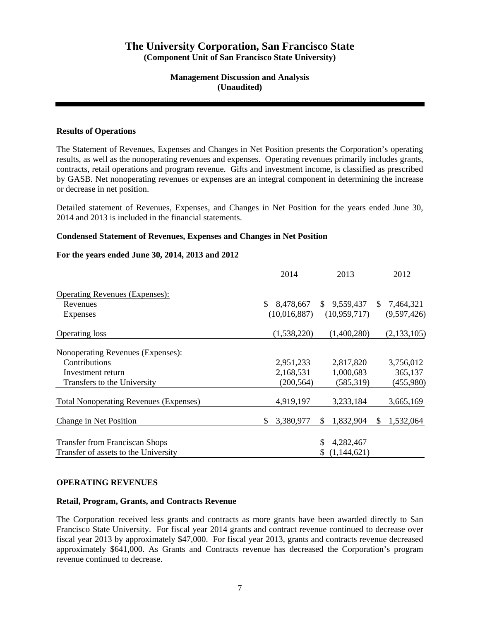## **Management Discussion and Analysis (Unaudited)**

#### **Results of Operations**

The Statement of Revenues, Expenses and Changes in Net Position presents the Corporation's operating results, as well as the nonoperating revenues and expenses. Operating revenues primarily includes grants, contracts, retail operations and program revenue. Gifts and investment income, is classified as prescribed by GASB. Net nonoperating revenues or expenses are an integral component in determining the increase or decrease in net position.

Detailed statement of Revenues, Expenses, and Changes in Net Position for the years ended June 30, 2014 and 2013 is included in the financial statements.

#### **Condensed Statement of Revenues, Expenses and Changes in Net Position**

#### **For the years ended June 30, 2014, 2013 and 2012**

|                                               | 2014            | 2013                       | 2012                      |
|-----------------------------------------------|-----------------|----------------------------|---------------------------|
| <b>Operating Revenues (Expenses):</b>         |                 |                            |                           |
| Revenues                                      | \$<br>8,478,667 | 9,559,437<br><sup>\$</sup> | 7,464,321<br>$\mathbb{S}$ |
| Expenses                                      | (10, 016, 887)  | (10,959,717)               | (9,597,426)               |
| <b>Operating loss</b>                         | (1,538,220)     | (1,400,280)                | (2, 133, 105)             |
| Nonoperating Revenues (Expenses):             |                 |                            |                           |
| Contributions                                 | 2,951,233       | 2,817,820                  | 3,756,012                 |
| Investment return                             | 2,168,531       | 1,000,683                  | 365,137                   |
| Transfers to the University                   | (200, 564)      | (585, 319)                 | (455,980)                 |
| <b>Total Nonoperating Revenues (Expenses)</b> | 4,919,197       | 3,233,184                  | 3,665,169                 |
| Change in Net Position                        | 3,380,977<br>\$ | 1,832,904<br>\$.           | 1,532,064<br>\$.          |
|                                               |                 |                            |                           |
| <b>Transfer from Franciscan Shops</b>         |                 | 4,282,467                  |                           |
| Transfer of assets to the University          |                 | (1,144,621)                |                           |

#### **OPERATING REVENUES**

#### **Retail, Program, Grants, and Contracts Revenue**

The Corporation received less grants and contracts as more grants have been awarded directly to San Francisco State University. For fiscal year 2014 grants and contract revenue continued to decrease over fiscal year 2013 by approximately \$47,000. For fiscal year 2013, grants and contracts revenue decreased approximately \$641,000. As Grants and Contracts revenue has decreased the Corporation's program revenue continued to decrease.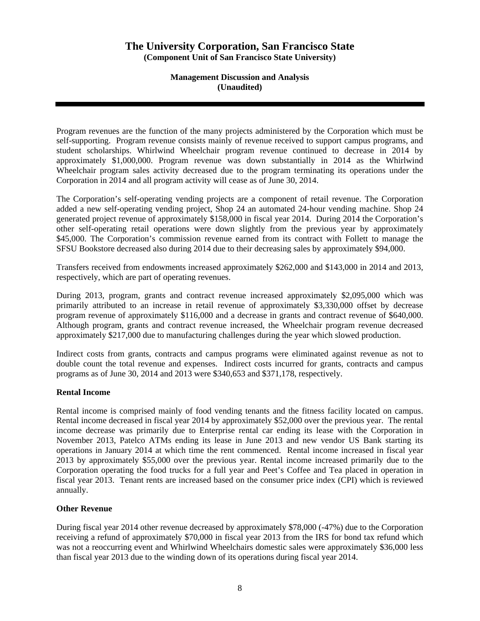## **Management Discussion and Analysis (Unaudited)**

Program revenues are the function of the many projects administered by the Corporation which must be self-supporting. Program revenue consists mainly of revenue received to support campus programs, and student scholarships. Whirlwind Wheelchair program revenue continued to decrease in 2014 by approximately \$1,000,000. Program revenue was down substantially in 2014 as the Whirlwind Wheelchair program sales activity decreased due to the program terminating its operations under the Corporation in 2014 and all program activity will cease as of June 30, 2014.

The Corporation's self-operating vending projects are a component of retail revenue. The Corporation added a new self-operating vending project, Shop 24 an automated 24-hour vending machine. Shop 24 generated project revenue of approximately \$158,000 in fiscal year 2014. During 2014 the Corporation's other self-operating retail operations were down slightly from the previous year by approximately \$45,000. The Corporation's commission revenue earned from its contract with Follett to manage the SFSU Bookstore decreased also during 2014 due to their decreasing sales by approximately \$94,000.

Transfers received from endowments increased approximately \$262,000 and \$143,000 in 2014 and 2013, respectively, which are part of operating revenues.

During 2013, program, grants and contract revenue increased approximately \$2,095,000 which was primarily attributed to an increase in retail revenue of approximately \$3,330,000 offset by decrease program revenue of approximately \$116,000 and a decrease in grants and contract revenue of \$640,000. Although program, grants and contract revenue increased, the Wheelchair program revenue decreased approximately \$217,000 due to manufacturing challenges during the year which slowed production.

Indirect costs from grants, contracts and campus programs were eliminated against revenue as not to double count the total revenue and expenses. Indirect costs incurred for grants, contracts and campus programs as of June 30, 2014 and 2013 were \$340,653 and \$371,178, respectively.

#### **Rental Income**

Rental income is comprised mainly of food vending tenants and the fitness facility located on campus. Rental income decreased in fiscal year 2014 by approximately \$52,000 over the previous year. The rental income decrease was primarily due to Enterprise rental car ending its lease with the Corporation in November 2013, Patelco ATMs ending its lease in June 2013 and new vendor US Bank starting its operations in January 2014 at which time the rent commenced. Rental income increased in fiscal year 2013 by approximately \$55,000 over the previous year. Rental income increased primarily due to the Corporation operating the food trucks for a full year and Peet's Coffee and Tea placed in operation in fiscal year 2013. Tenant rents are increased based on the consumer price index (CPI) which is reviewed annually.

#### **Other Revenue**

During fiscal year 2014 other revenue decreased by approximately \$78,000 (-47%) due to the Corporation receiving a refund of approximately \$70,000 in fiscal year 2013 from the IRS for bond tax refund which was not a reoccurring event and Whirlwind Wheelchairs domestic sales were approximately \$36,000 less than fiscal year 2013 due to the winding down of its operations during fiscal year 2014.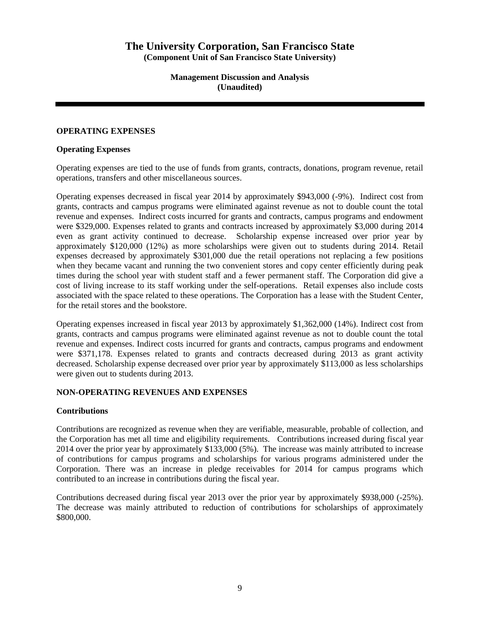**Management Discussion and Analysis (Unaudited)** 

#### **OPERATING EXPENSES**

#### **Operating Expenses**

Operating expenses are tied to the use of funds from grants, contracts, donations, program revenue, retail operations, transfers and other miscellaneous sources.

Operating expenses decreased in fiscal year 2014 by approximately \$943,000 (-9%). Indirect cost from grants, contracts and campus programs were eliminated against revenue as not to double count the total revenue and expenses. Indirect costs incurred for grants and contracts, campus programs and endowment were \$329,000. Expenses related to grants and contracts increased by approximately \$3,000 during 2014 even as grant activity continued to decrease. Scholarship expense increased over prior year by approximately \$120,000 (12%) as more scholarships were given out to students during 2014. Retail expenses decreased by approximately \$301,000 due the retail operations not replacing a few positions when they became vacant and running the two convenient stores and copy center efficiently during peak times during the school year with student staff and a fewer permanent staff. The Corporation did give a cost of living increase to its staff working under the self-operations. Retail expenses also include costs associated with the space related to these operations. The Corporation has a lease with the Student Center, for the retail stores and the bookstore.

Operating expenses increased in fiscal year 2013 by approximately \$1,362,000 (14%). Indirect cost from grants, contracts and campus programs were eliminated against revenue as not to double count the total revenue and expenses. Indirect costs incurred for grants and contracts, campus programs and endowment were \$371,178. Expenses related to grants and contracts decreased during 2013 as grant activity decreased. Scholarship expense decreased over prior year by approximately \$113,000 as less scholarships were given out to students during 2013.

#### **NON-OPERATING REVENUES AND EXPENSES**

#### **Contributions**

Contributions are recognized as revenue when they are verifiable, measurable, probable of collection, and the Corporation has met all time and eligibility requirements. Contributions increased during fiscal year 2014 over the prior year by approximately \$133,000 (5%). The increase was mainly attributed to increase of contributions for campus programs and scholarships for various programs administered under the Corporation. There was an increase in pledge receivables for 2014 for campus programs which contributed to an increase in contributions during the fiscal year.

Contributions decreased during fiscal year 2013 over the prior year by approximately \$938,000 (-25%). The decrease was mainly attributed to reduction of contributions for scholarships of approximately \$800,000.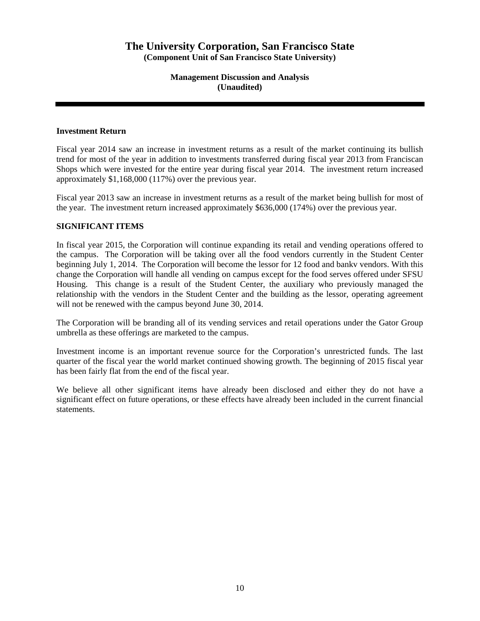## **Management Discussion and Analysis (Unaudited)**

#### **Investment Return**

Fiscal year 2014 saw an increase in investment returns as a result of the market continuing its bullish trend for most of the year in addition to investments transferred during fiscal year 2013 from Franciscan Shops which were invested for the entire year during fiscal year 2014. The investment return increased approximately \$1,168,000 (117%) over the previous year.

Fiscal year 2013 saw an increase in investment returns as a result of the market being bullish for most of the year. The investment return increased approximately \$636,000 (174%) over the previous year.

#### **SIGNIFICANT ITEMS**

In fiscal year 2015, the Corporation will continue expanding its retail and vending operations offered to the campus. The Corporation will be taking over all the food vendors currently in the Student Center beginning July 1, 2014. The Corporation will become the lessor for 12 food and bankv vendors. With this change the Corporation will handle all vending on campus except for the food serves offered under SFSU Housing. This change is a result of the Student Center, the auxiliary who previously managed the relationship with the vendors in the Student Center and the building as the lessor, operating agreement will not be renewed with the campus beyond June 30, 2014.

The Corporation will be branding all of its vending services and retail operations under the Gator Group umbrella as these offerings are marketed to the campus.

Investment income is an important revenue source for the Corporation's unrestricted funds. The last quarter of the fiscal year the world market continued showing growth. The beginning of 2015 fiscal year has been fairly flat from the end of the fiscal year.

We believe all other significant items have already been disclosed and either they do not have a significant effect on future operations, or these effects have already been included in the current financial statements.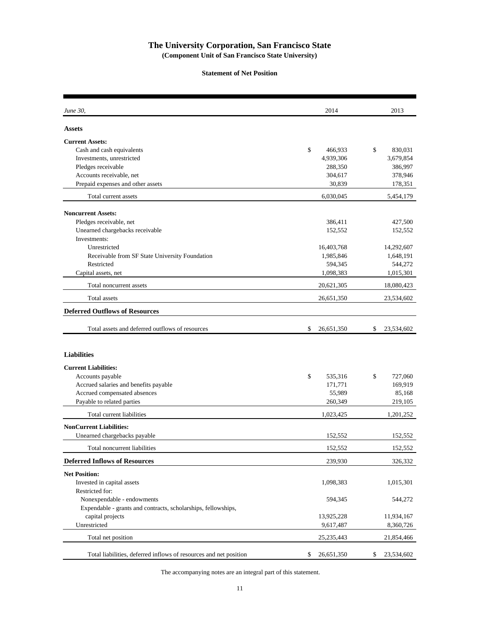#### **Statement of Net Position**

| June 30,                                                          | 2014             | 2013             |
|-------------------------------------------------------------------|------------------|------------------|
| <b>Assets</b>                                                     |                  |                  |
| <b>Current Assets:</b>                                            |                  |                  |
| Cash and cash equivalents                                         | \$<br>466,933    | \$<br>830,031    |
| Investments, unrestricted                                         | 4,939,306        | 3,679,854        |
| Pledges receivable                                                | 288,350          | 386,997          |
| Accounts receivable, net                                          | 304,617          | 378,946          |
| Prepaid expenses and other assets                                 | 30,839           | 178,351          |
| Total current assets                                              | 6,030,045        | 5,454,179        |
| <b>Noncurrent Assets:</b>                                         |                  |                  |
| Pledges receivable, net                                           | 386,411          | 427,500          |
| Unearned chargebacks receivable                                   | 152,552          | 152,552          |
| Investments:                                                      |                  |                  |
| Unrestricted                                                      | 16,403,768       | 14,292,607       |
| Receivable from SF State University Foundation                    | 1,985,846        | 1,648,191        |
| Restricted                                                        | 594,345          | 544,272          |
| Capital assets, net                                               | 1,098,383        | 1,015,301        |
| Total noncurrent assets                                           | 20,621,305       | 18,080,423       |
| Total assets                                                      | 26,651,350       | 23,534,602       |
| <b>Deferred Outflows of Resources</b>                             |                  |                  |
|                                                                   |                  |                  |
| Total assets and deferred outflows of resources                   | \$<br>26,651,350 | \$<br>23,534,602 |
|                                                                   |                  |                  |
| <b>Liabilities</b>                                                |                  |                  |
| <b>Current Liabilities:</b>                                       |                  |                  |
| Accounts payable                                                  | \$<br>535,316    | \$<br>727,060    |
| Accrued salaries and benefits payable                             | 171,771          | 169,919          |
| Accrued compensated absences                                      | 55,989           | 85,168           |
| Payable to related parties                                        | 260,349          | 219,105          |
| Total current liabilities                                         | 1,023,425        | 1,201,252        |
|                                                                   |                  |                  |
| <b>NonCurrent Liabilities:</b>                                    |                  |                  |
| Unearned chargebacks payable                                      | 152,552          | 152,552          |
| Total noncurrent liabilities                                      | 152.552          | 152.552          |
| <b>Deferred Inflows of Resources</b>                              | 239,930          | 326,332          |
| <b>Net Position:</b>                                              |                  |                  |
| Invested in capital assets                                        | 1,098,383        | 1,015,301        |
| Restricted for:                                                   |                  |                  |
| Nonexpendable - endowments                                        | 594,345          | 544,272          |
| Expendable - grants and contracts, scholarships, fellowships,     |                  |                  |
| capital projects                                                  | 13,925,228       | 11,934,167       |
| Unrestricted                                                      | 9,617,487        | 8,360,726        |
| Total net position                                                | 25, 235, 443     | 21,854,466       |
| Total liabilities, deferred inflows of resources and net position | \$<br>26,651,350 | \$<br>23,534,602 |
|                                                                   |                  |                  |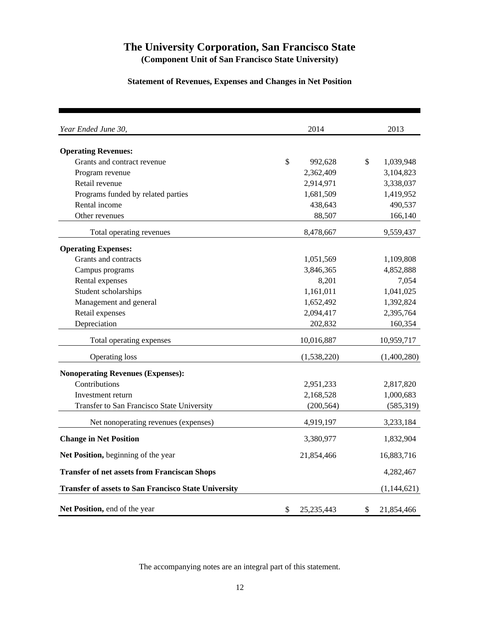#### **Statement of Revenues, Expenses and Changes in Net Position**

| Year Ended June 30,                                         | 2014               | 2013             |
|-------------------------------------------------------------|--------------------|------------------|
| <b>Operating Revenues:</b>                                  |                    |                  |
| Grants and contract revenue                                 | \$<br>992,628      | \$<br>1,039,948  |
| Program revenue                                             | 2,362,409          | 3,104,823        |
| Retail revenue                                              | 2,914,971          | 3,338,037        |
| Programs funded by related parties                          | 1,681,509          | 1,419,952        |
| Rental income                                               | 438,643            | 490,537          |
| Other revenues                                              | 88,507             | 166,140          |
| Total operating revenues                                    | 8,478,667          | 9,559,437        |
| <b>Operating Expenses:</b>                                  |                    |                  |
| Grants and contracts                                        | 1,051,569          | 1,109,808        |
| Campus programs                                             | 3,846,365          | 4,852,888        |
| Rental expenses                                             | 8,201              | 7,054            |
| Student scholarships                                        | 1,161,011          | 1,041,025        |
| Management and general                                      | 1,652,492          | 1,392,824        |
| Retail expenses                                             | 2,094,417          | 2,395,764        |
| Depreciation                                                | 202,832            | 160,354          |
| Total operating expenses                                    | 10,016,887         | 10,959,717       |
| <b>Operating loss</b>                                       | (1,538,220)        | (1,400,280)      |
| <b>Nonoperating Revenues (Expenses):</b>                    |                    |                  |
| Contributions                                               | 2,951,233          | 2,817,820        |
| Investment return                                           | 2,168,528          | 1,000,683        |
| Transfer to San Francisco State University                  | (200, 564)         | (585, 319)       |
| Net nonoperating revenues (expenses)                        | 4,919,197          | 3,233,184        |
| <b>Change in Net Position</b>                               | 3,380,977          | 1,832,904        |
| Net Position, beginning of the year                         | 21,854,466         | 16,883,716       |
| <b>Transfer of net assets from Franciscan Shops</b>         |                    | 4,282,467        |
| <b>Transfer of assets to San Francisco State University</b> |                    | (1,144,621)      |
| Net Position, end of the year                               | \$<br>25, 235, 443 | \$<br>21,854,466 |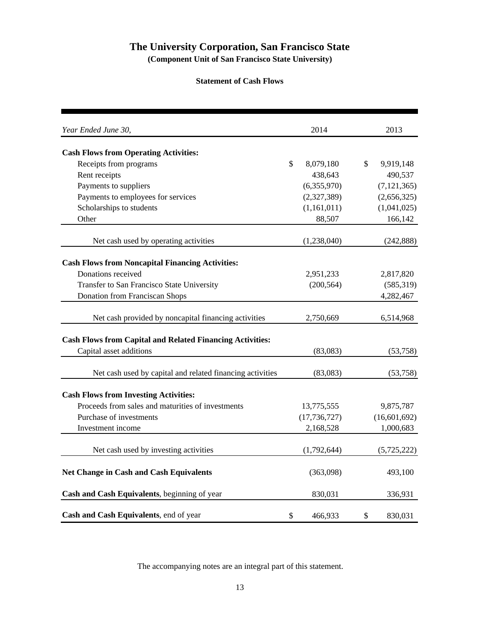#### **Statement of Cash Flows**

| Year Ended June 30,                                              | 2014            | 2013            |
|------------------------------------------------------------------|-----------------|-----------------|
| <b>Cash Flows from Operating Activities:</b>                     |                 |                 |
| Receipts from programs                                           | \$<br>8,079,180 | \$<br>9,919,148 |
| Rent receipts                                                    | 438,643         | 490,537         |
| Payments to suppliers                                            | (6,355,970)     | (7, 121, 365)   |
| Payments to employees for services                               | (2,327,389)     | (2,656,325)     |
| Scholarships to students                                         | (1,161,011)     | (1,041,025)     |
| Other                                                            | 88,507          | 166,142         |
| Net cash used by operating activities                            | (1,238,040)     | (242, 888)      |
| <b>Cash Flows from Noncapital Financing Activities:</b>          |                 |                 |
| Donations received                                               | 2,951,233       | 2,817,820       |
| Transfer to San Francisco State University                       | (200, 564)      | (585, 319)      |
| <b>Donation from Franciscan Shops</b>                            |                 | 4,282,467       |
| Net cash provided by noncapital financing activities             | 2,750,669       | 6,514,968       |
| <b>Cash Flows from Capital and Related Financing Activities:</b> |                 |                 |
| Capital asset additions                                          | (83,083)        | (53,758)        |
| Net cash used by capital and related financing activities        | (83,083)        | (53,758)        |
| <b>Cash Flows from Investing Activities:</b>                     |                 |                 |
| Proceeds from sales and maturities of investments                | 13,775,555      | 9,875,787       |
| Purchase of investments                                          | (17, 736, 727)  | (16,601,692)    |
| Investment income                                                | 2,168,528       | 1,000,683       |
| Net cash used by investing activities                            | (1,792,644)     | (5,725,222)     |
| <b>Net Change in Cash and Cash Equivalents</b>                   | (363,098)       | 493,100         |
| Cash and Cash Equivalents, beginning of year                     | 830,031         | 336,931         |
| Cash and Cash Equivalents, end of year                           | \$<br>466,933   | \$<br>830,031   |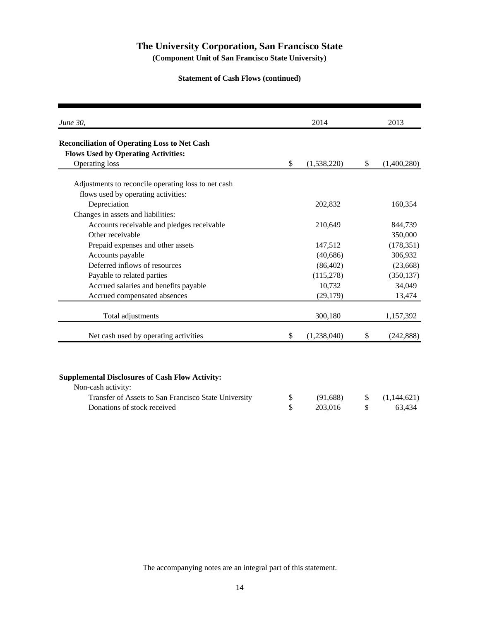# **The University Corporation, San Francisco State**

**(Component Unit of San Francisco State University)**

#### **Statement of Cash Flows (continued)**

| June 30,                                                                                          |    | 2013        |                    |
|---------------------------------------------------------------------------------------------------|----|-------------|--------------------|
| <b>Reconciliation of Operating Loss to Net Cash</b><br><b>Flows Used by Operating Activities:</b> |    |             |                    |
| <b>Operating loss</b>                                                                             | \$ | (1,538,220) | \$<br>(1,400,280)  |
| Adjustments to reconcile operating loss to net cash<br>flows used by operating activities:        |    |             |                    |
| Depreciation<br>Changes in assets and liabilities:                                                |    | 202,832     | 160,354            |
| Accounts receivable and pledges receivable<br>Other receivable                                    |    | 210,649     | 844,739<br>350,000 |
| Prepaid expenses and other assets                                                                 |    | 147,512     | (178, 351)         |
| Accounts payable                                                                                  |    | (40, 686)   | 306,932            |
| Deferred inflows of resources                                                                     |    | (86, 402)   | (23, 668)          |
| Payable to related parties                                                                        |    | (115,278)   | (350, 137)         |
| Accrued salaries and benefits payable                                                             |    | 10,732      | 34,049             |
| Accrued compensated absences                                                                      |    | (29, 179)   | 13,474             |
| Total adjustments                                                                                 |    | 300,180     | 1,157,392          |
| Net cash used by operating activities                                                             | \$ | (1,238,040) | \$<br>(242, 888)   |
| <b>Supplemental Disclosures of Cash Flow Activity:</b><br>Non-cash activity:                      |    |             |                    |
| Transfer of Assets to San Francisco State University                                              | \$ | (91.688)    | \$<br>(1,144,621)  |

Donations of stock received <br>\$ 203,016 \$ 63,434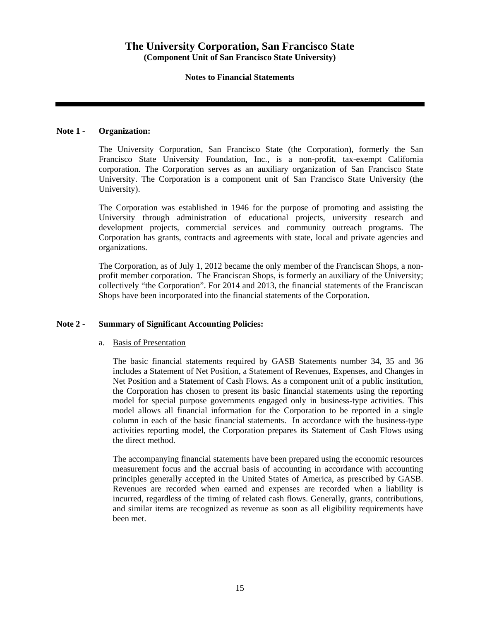#### **Notes to Financial Statements**

#### **Note 1 - Organization:**

The University Corporation, San Francisco State (the Corporation), formerly the San Francisco State University Foundation, Inc., is a non-profit, tax-exempt California corporation. The Corporation serves as an auxiliary organization of San Francisco State University. The Corporation is a component unit of San Francisco State University (the University).

The Corporation was established in 1946 for the purpose of promoting and assisting the University through administration of educational projects, university research and development projects, commercial services and community outreach programs. The Corporation has grants, contracts and agreements with state, local and private agencies and organizations.

The Corporation, as of July 1, 2012 became the only member of the Franciscan Shops, a nonprofit member corporation. The Franciscan Shops, is formerly an auxiliary of the University; collectively "the Corporation". For 2014 and 2013, the financial statements of the Franciscan Shops have been incorporated into the financial statements of the Corporation.

#### **Note 2 - Summary of Significant Accounting Policies:**

#### a. Basis of Presentation

The basic financial statements required by GASB Statements number 34, 35 and 36 includes a Statement of Net Position, a Statement of Revenues, Expenses, and Changes in Net Position and a Statement of Cash Flows. As a component unit of a public institution, the Corporation has chosen to present its basic financial statements using the reporting model for special purpose governments engaged only in business-type activities. This model allows all financial information for the Corporation to be reported in a single column in each of the basic financial statements. In accordance with the business-type activities reporting model, the Corporation prepares its Statement of Cash Flows using the direct method.

The accompanying financial statements have been prepared using the economic resources measurement focus and the accrual basis of accounting in accordance with accounting principles generally accepted in the United States of America, as prescribed by GASB. Revenues are recorded when earned and expenses are recorded when a liability is incurred, regardless of the timing of related cash flows. Generally, grants, contributions, and similar items are recognized as revenue as soon as all eligibility requirements have been met.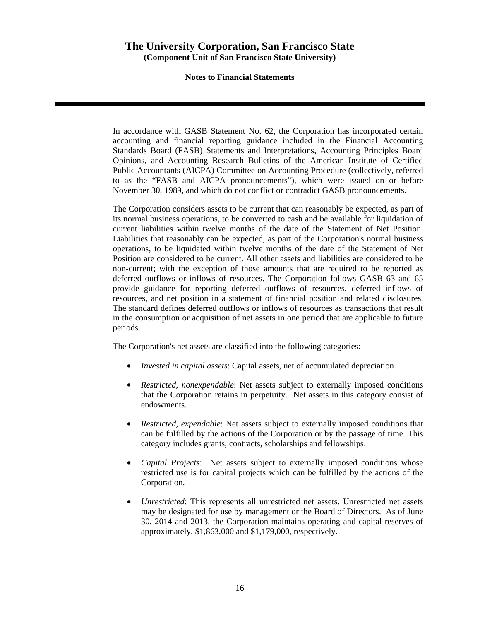#### **Notes to Financial Statements**

In accordance with GASB Statement No. 62, the Corporation has incorporated certain accounting and financial reporting guidance included in the Financial Accounting Standards Board (FASB) Statements and Interpretations, Accounting Principles Board Opinions, and Accounting Research Bulletins of the American Institute of Certified Public Accountants (AICPA) Committee on Accounting Procedure (collectively, referred to as the "FASB and AICPA pronouncements"), which were issued on or before November 30, 1989, and which do not conflict or contradict GASB pronouncements.

The Corporation considers assets to be current that can reasonably be expected, as part of its normal business operations, to be converted to cash and be available for liquidation of current liabilities within twelve months of the date of the Statement of Net Position. Liabilities that reasonably can be expected, as part of the Corporation's normal business operations, to be liquidated within twelve months of the date of the Statement of Net Position are considered to be current. All other assets and liabilities are considered to be non-current; with the exception of those amounts that are required to be reported as deferred outflows or inflows of resources. The Corporation follows GASB 63 and 65 provide guidance for reporting deferred outflows of resources, deferred inflows of resources, and net position in a statement of financial position and related disclosures. The standard defines deferred outflows or inflows of resources as transactions that result in the consumption or acquisition of net assets in one period that are applicable to future periods.

The Corporation's net assets are classified into the following categories:

- *Invested in capital assets*: Capital assets, net of accumulated depreciation.
- *Restricted, nonexpendable*: Net assets subject to externally imposed conditions that the Corporation retains in perpetuity. Net assets in this category consist of endowments.
- *Restricted, expendable*: Net assets subject to externally imposed conditions that can be fulfilled by the actions of the Corporation or by the passage of time. This category includes grants, contracts, scholarships and fellowships.
- *Capital Projects*: Net assets subject to externally imposed conditions whose restricted use is for capital projects which can be fulfilled by the actions of the Corporation.
- *Unrestricted*: This represents all unrestricted net assets. Unrestricted net assets may be designated for use by management or the Board of Directors. As of June 30, 2014 and 2013, the Corporation maintains operating and capital reserves of approximately, \$1,863,000 and \$1,179,000, respectively.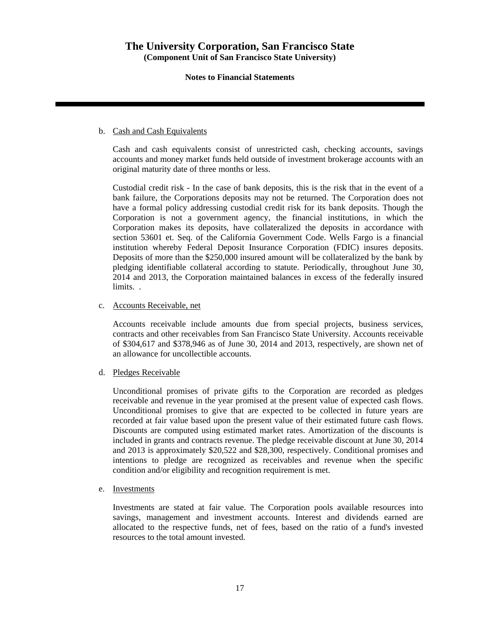#### **Notes to Financial Statements**

#### b. Cash and Cash Equivalents

Cash and cash equivalents consist of unrestricted cash, checking accounts, savings accounts and money market funds held outside of investment brokerage accounts with an original maturity date of three months or less.

Custodial credit risk - In the case of bank deposits, this is the risk that in the event of a bank failure, the Corporations deposits may not be returned. The Corporation does not have a formal policy addressing custodial credit risk for its bank deposits. Though the Corporation is not a government agency, the financial institutions, in which the Corporation makes its deposits, have collateralized the deposits in accordance with section 53601 et. Seq. of the California Government Code. Wells Fargo is a financial institution whereby Federal Deposit Insurance Corporation (FDIC) insures deposits. Deposits of more than the \$250,000 insured amount will be collateralized by the bank by pledging identifiable collateral according to statute. Periodically, throughout June 30, 2014 and 2013, the Corporation maintained balances in excess of the federally insured limits. .

#### c. Accounts Receivable, net

Accounts receivable include amounts due from special projects, business services, contracts and other receivables from San Francisco State University. Accounts receivable of \$304,617 and \$378,946 as of June 30, 2014 and 2013, respectively, are shown net of an allowance for uncollectible accounts.

#### d. Pledges Receivable

Unconditional promises of private gifts to the Corporation are recorded as pledges receivable and revenue in the year promised at the present value of expected cash flows. Unconditional promises to give that are expected to be collected in future years are recorded at fair value based upon the present value of their estimated future cash flows. Discounts are computed using estimated market rates. Amortization of the discounts is included in grants and contracts revenue. The pledge receivable discount at June 30, 2014 and 2013 is approximately \$20,522 and \$28,300, respectively. Conditional promises and intentions to pledge are recognized as receivables and revenue when the specific condition and/or eligibility and recognition requirement is met.

#### e. Investments

Investments are stated at fair value. The Corporation pools available resources into savings, management and investment accounts. Interest and dividends earned are allocated to the respective funds, net of fees, based on the ratio of a fund's invested resources to the total amount invested.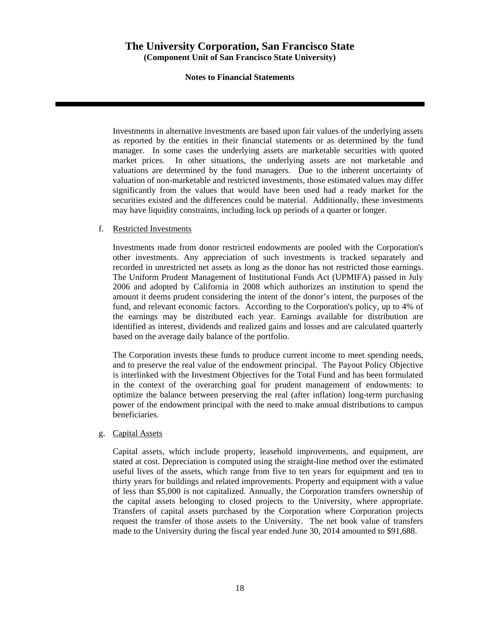#### **Notes to Financial Statements**

Investments in alternative investments are based upon fair values of the underlying assets as reported by the entities in their financial statements or as determined by the fund manager. In some cases the underlying assets are marketable securities with quoted market prices. In other situations, the underlying assets are not marketable and valuations are determined by the fund managers. Due to the inherent uncertainty of valuation of non-marketable and restricted investments, those estimated values may differ significantly from the values that would have been used had a ready market for the securities existed and the differences could be material. Additionally, these investments may have liquidity constraints, including lock up periods of a quarter or longer.

#### f. Restricted Investments

Investments made from donor restricted endowments are pooled with the Corporation's other investments. Any appreciation of such investments is tracked separately and recorded in unrestricted net assets as long as the donor has not restricted those earnings. The Uniform Prudent Management of Institutional Funds Act (UPMIFA) passed in July 2006 and adopted by California in 2008 which authorizes an institution to spend the amount it deems prudent considering the intent of the donor's intent, the purposes of the fund, and relevant economic factors. According to the Corporation's policy, up to 4% of the earnings may be distributed each year. Earnings available for distribution are identified as interest, dividends and realized gains and losses and are calculated quarterly based on the average daily balance of the portfolio.

The Corporation invests these funds to produce current income to meet spending needs, and to preserve the real value of the endowment principal. The Payout Policy Objective is interlinked with the Investment Objectives for the Total Fund and has been formulated in the context of the overarching goal for prudent management of endowments: to optimize the balance between preserving the real (after inflation) long-term purchasing power of the endowment principal with the need to make annual distributions to campus beneficiaries.

#### g. Capital Assets

Capital assets, which include property, leasehold improvements, and equipment, are stated at cost. Depreciation is computed using the straight-line method over the estimated useful lives of the assets, which range from five to ten years for equipment and ten to thirty years for buildings and related improvements. Property and equipment with a value of less than \$5,000 is not capitalized. Annually, the Corporation transfers ownership of the capital assets belonging to closed projects to the University, where appropriate. Transfers of capital assets purchased by the Corporation where Corporation projects request the transfer of those assets to the University. The net book value of transfers made to the University during the fiscal year ended June 30, 2014 amounted to \$91,688.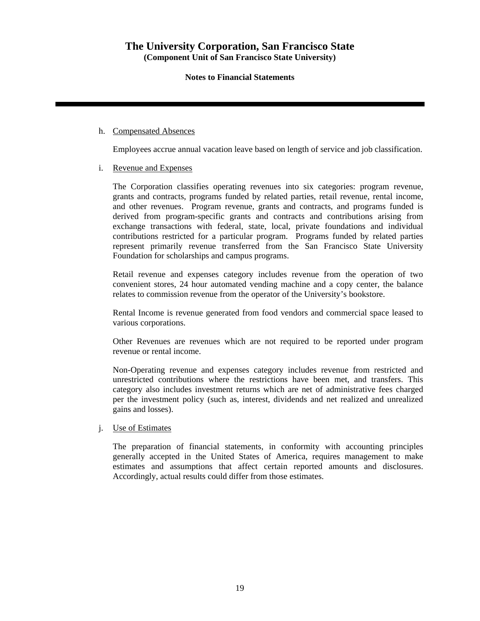#### **Notes to Financial Statements**

#### h. Compensated Absences

Employees accrue annual vacation leave based on length of service and job classification.

#### i. Revenue and Expenses

The Corporation classifies operating revenues into six categories: program revenue, grants and contracts, programs funded by related parties, retail revenue, rental income, and other revenues. Program revenue, grants and contracts, and programs funded is derived from program-specific grants and contracts and contributions arising from exchange transactions with federal, state, local, private foundations and individual contributions restricted for a particular program. Programs funded by related parties represent primarily revenue transferred from the San Francisco State University Foundation for scholarships and campus programs.

Retail revenue and expenses category includes revenue from the operation of two convenient stores, 24 hour automated vending machine and a copy center, the balance relates to commission revenue from the operator of the University's bookstore.

Rental Income is revenue generated from food vendors and commercial space leased to various corporations.

Other Revenues are revenues which are not required to be reported under program revenue or rental income.

Non-Operating revenue and expenses category includes revenue from restricted and unrestricted contributions where the restrictions have been met, and transfers. This category also includes investment returns which are net of administrative fees charged per the investment policy (such as, interest, dividends and net realized and unrealized gains and losses).

#### j. Use of Estimates

The preparation of financial statements, in conformity with accounting principles generally accepted in the United States of America, requires management to make estimates and assumptions that affect certain reported amounts and disclosures. Accordingly, actual results could differ from those estimates.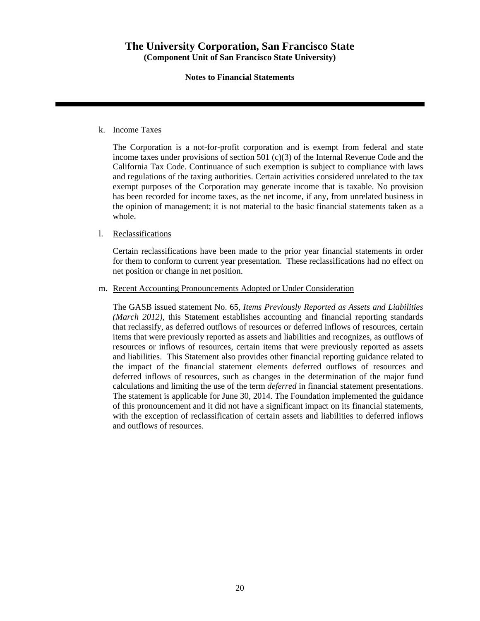#### **Notes to Financial Statements**

#### k. Income Taxes

The Corporation is a not-for-profit corporation and is exempt from federal and state income taxes under provisions of section 501 (c)(3) of the Internal Revenue Code and the California Tax Code. Continuance of such exemption is subject to compliance with laws and regulations of the taxing authorities. Certain activities considered unrelated to the tax exempt purposes of the Corporation may generate income that is taxable. No provision has been recorded for income taxes, as the net income, if any, from unrelated business in the opinion of management; it is not material to the basic financial statements taken as a whole.

#### l. Reclassifications

Certain reclassifications have been made to the prior year financial statements in order for them to conform to current year presentation. These reclassifications had no effect on net position or change in net position.

#### m. Recent Accounting Pronouncements Adopted or Under Consideration

The GASB issued statement No. 65, *Items Previously Reported as Assets and Liabilities (March 2012)*, this Statement establishes accounting and financial reporting standards that reclassify, as deferred outflows of resources or deferred inflows of resources, certain items that were previously reported as assets and liabilities and recognizes, as outflows of resources or inflows of resources, certain items that were previously reported as assets and liabilities. This Statement also provides other financial reporting guidance related to the impact of the financial statement elements deferred outflows of resources and deferred inflows of resources, such as changes in the determination of the major fund calculations and limiting the use of the term *deferred* in financial statement presentations. The statement is applicable for June 30, 2014. The Foundation implemented the guidance of this pronouncement and it did not have a significant impact on its financial statements, with the exception of reclassification of certain assets and liabilities to deferred inflows and outflows of resources.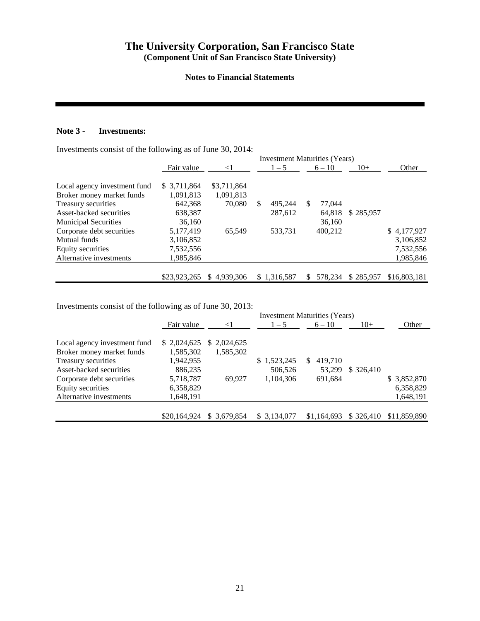#### **Notes to Financial Statements**

## **Note 3 - Investments:**

Investments consist of the following as of June 30, 2014:

|                              | <b>Investment Maturities (Years)</b> |             |         |             |     |          |           |              |
|------------------------------|--------------------------------------|-------------|---------|-------------|-----|----------|-----------|--------------|
|                              | Fair value                           | $\leq$ 1    | $1 - 5$ |             |     | $6 - 10$ | $10+$     | Other        |
| Local agency investment fund | \$ 3,711,864                         | \$3,711,864 |         |             |     |          |           |              |
| Broker money market funds    | 1,091,813                            | 1,091,813   |         |             |     |          |           |              |
| Treasury securities          | 642,368                              | 70,080      | \$.     | 495.244     | \$. | 77,044   |           |              |
| Asset-backed securities      | 638,387                              |             |         | 287,612     |     | 64,818   | \$285,957 |              |
| <b>Municipal Securities</b>  | 36.160                               |             |         |             |     | 36,160   |           |              |
| Corporate debt securities    | 5,177,419                            | 65,549      |         | 533,731     |     | 400,212  |           | \$4,177,927  |
| Mutual funds                 | 3,106,852                            |             |         |             |     |          |           | 3,106,852    |
| Equity securities            | 7,532,556                            |             |         |             |     |          |           | 7,532,556    |
| Alternative investments      | 1,985,846                            |             |         |             |     |          |           | 1,985,846    |
|                              | \$23,923,265                         | \$4.939.306 |         | \$1,316,587 |     | 578.234  | \$285,957 | \$16,803,181 |

Investments consist of the following as of June 30, 2013:

|                              |              | <b>Investment Maturities (Years)</b> |              |                |           |              |  |  |  |  |
|------------------------------|--------------|--------------------------------------|--------------|----------------|-----------|--------------|--|--|--|--|
|                              | Fair value   | $\leq$ 1                             | $1 - 5$      | $6 - 10$       | $10+$     | Other        |  |  |  |  |
| Local agency investment fund | \$2,024,625  | \$ 2,024,625                         |              |                |           |              |  |  |  |  |
| Broker money market funds    | 1,585,302    | 1,585,302                            |              |                |           |              |  |  |  |  |
| Treasury securities          | 1,942,955    |                                      | \$1,523,245  | 419,710<br>\$. |           |              |  |  |  |  |
| Asset-backed securities      | 886,235      |                                      | 506.526      | 53.299         | \$326,410 |              |  |  |  |  |
| Corporate debt securities    | 5,718,787    | 69.927                               | 1,104,306    | 691,684        |           | \$3,852,870  |  |  |  |  |
| Equity securities            | 6,358,829    |                                      |              |                |           | 6,358,829    |  |  |  |  |
| Alternative investments      | 1,648,191    |                                      |              |                |           | 1,648,191    |  |  |  |  |
|                              | \$20,164,924 | \$ 3.679.854                         | \$ 3,134,077 | \$1,164,693    | \$326,410 | \$11,859,890 |  |  |  |  |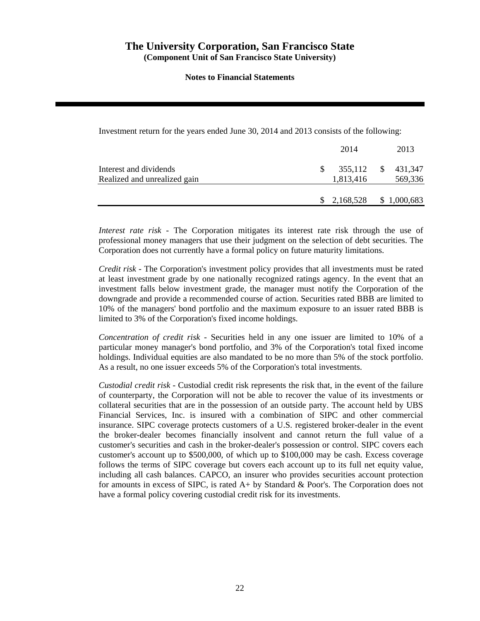#### **Notes to Financial Statements**

Investment return for the years ended June 30, 2014 and 2013 consists of the following:

|                                                        | 2014                 | 2013               |
|--------------------------------------------------------|----------------------|--------------------|
| Interest and dividends<br>Realized and unrealized gain | 355,112<br>1,813,416 | 431,347<br>569,336 |
|                                                        | \$2,168,528          | \$1,000,683        |

*Interest rate risk* - The Corporation mitigates its interest rate risk through the use of professional money managers that use their judgment on the selection of debt securities. The Corporation does not currently have a formal policy on future maturity limitations.

*Credit risk* - The Corporation's investment policy provides that all investments must be rated at least investment grade by one nationally recognized ratings agency. In the event that an investment falls below investment grade, the manager must notify the Corporation of the downgrade and provide a recommended course of action. Securities rated BBB are limited to 10% of the managers' bond portfolio and the maximum exposure to an issuer rated BBB is limited to 3% of the Corporation's fixed income holdings.

*Concentration of credit risk* - Securities held in any one issuer are limited to 10% of a particular money manager's bond portfolio, and 3% of the Corporation's total fixed income holdings. Individual equities are also mandated to be no more than 5% of the stock portfolio. As a result, no one issuer exceeds 5% of the Corporation's total investments.

*Custodial credit risk* - Custodial credit risk represents the risk that, in the event of the failure of counterparty, the Corporation will not be able to recover the value of its investments or collateral securities that are in the possession of an outside party. The account held by UBS Financial Services, Inc. is insured with a combination of SIPC and other commercial insurance. SIPC coverage protects customers of a U.S. registered broker-dealer in the event the broker-dealer becomes financially insolvent and cannot return the full value of a customer's securities and cash in the broker-dealer's possession or control. SIPC covers each customer's account up to \$500,000, of which up to \$100,000 may be cash. Excess coverage follows the terms of SIPC coverage but covers each account up to its full net equity value, including all cash balances. CAPCO, an insurer who provides securities account protection for amounts in excess of SIPC, is rated A+ by Standard & Poor's. The Corporation does not have a formal policy covering custodial credit risk for its investments.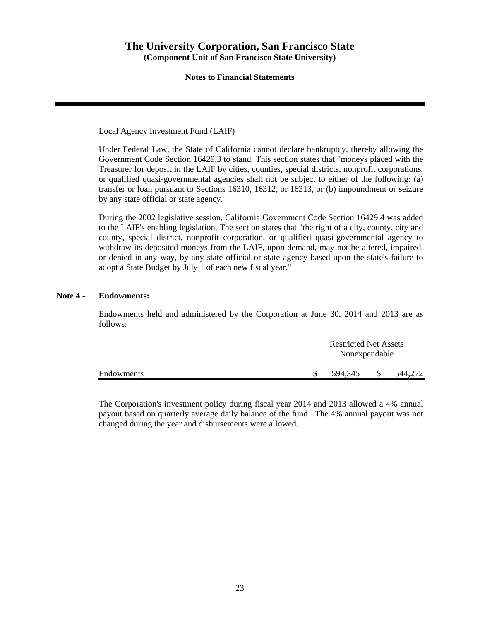#### **Notes to Financial Statements**

Local Agency Investment Fund (LAIF)

Under Federal Law, the State of California cannot declare bankruptcy, thereby allowing the Government Code Section 16429.3 to stand. This section states that "moneys placed with the Treasurer for deposit in the LAIF by cities, counties, special districts, nonprofit corporations, or qualified quasi-governmental agencies shall not be subject to either of the following: (a) transfer or loan pursuant to Sections 16310, 16312, or 16313, or (b) impoundment or seizure by any state official or state agency.

During the 2002 legislative session, California Government Code Section 16429.4 was added to the LAIF's enabling legislation. The section states that "the right of a city, county, city and county, special district, nonprofit corporation, or qualified quasi-governmental agency to withdraw its deposited moneys from the LAIF, upon demand, may not be altered, impaired, or denied in any way, by any state official or state agency based upon the state's failure to adopt a State Budget by July 1 of each new fiscal year."

#### **Note 4 - Endowments:**

Endowments held and administered by the Corporation at June 30, 2014 and 2013 are as follows:

|            | <b>Restricted Net Assets</b><br>Nonexpendable |         |    |         |  |
|------------|-----------------------------------------------|---------|----|---------|--|
| Endowments |                                               | 594.345 | -S | 544.272 |  |

The Corporation's investment policy during fiscal year 2014 and 2013 allowed a 4% annual payout based on quarterly average daily balance of the fund. The 4% annual payout was not changed during the year and disbursements were allowed.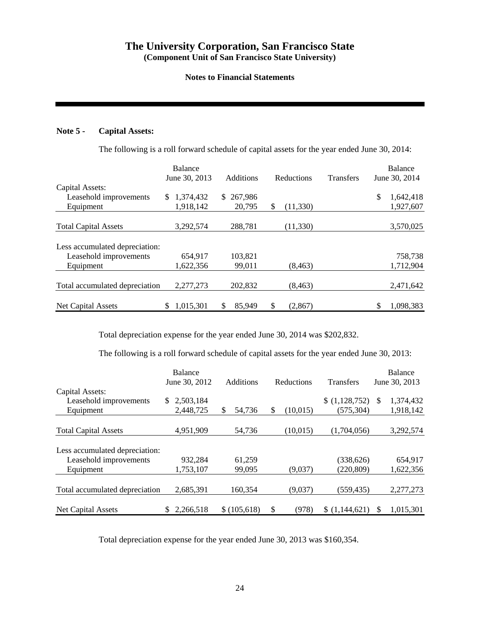#### **Notes to Financial Statements**

## **Note 5 - Capital Assets:**

The following is a roll forward schedule of capital assets for the year ended June 30, 2014:

|                                |     | Balance<br>June 30, 2013 |    | <b>Additions</b> | <b>Reductions</b> | <b>Transfers</b> | <b>Balance</b><br>June 30, 2014 |
|--------------------------------|-----|--------------------------|----|------------------|-------------------|------------------|---------------------------------|
| Capital Assets:                |     |                          |    |                  |                   |                  |                                 |
| Leasehold improvements         | \$. | 1,374,432                | S. | 267.986          |                   |                  | \$<br>1,642,418                 |
| Equipment                      |     | 1,918,142                |    | 20,795           | \$<br>(11,330)    |                  | 1,927,607                       |
|                                |     |                          |    |                  |                   |                  |                                 |
| <b>Total Capital Assets</b>    |     | 3,292,574                |    | 288,781          | (11, 330)         |                  | 3,570,025                       |
| Less accumulated depreciation: |     |                          |    |                  |                   |                  |                                 |
| Leasehold improvements         |     | 654,917                  |    | 103,821          |                   |                  | 758,738                         |
| Equipment                      |     | 1,622,356                |    | 99,011           | (8, 463)          |                  | 1,712,904                       |
| Total accumulated depreciation |     | 2,277,273                |    | 202,832          | (8, 463)          |                  | 2,471,642                       |
| Net Capital Assets             | S   | 1,015,301                | \$ | 85,949           | \$<br>(2, 867)    |                  | \$<br>1,098,383                 |

Total depreciation expense for the year ended June 30, 2014 was \$202,832.

The following is a roll forward schedule of capital assets for the year ended June 30, 2013:

|                                |    | <b>Balance</b><br>June 30, 2012 |     | <b>Additions</b> |    | Reductions | <b>Transfers</b>  | <b>Balance</b><br>June 30, 2013 |           |
|--------------------------------|----|---------------------------------|-----|------------------|----|------------|-------------------|---------------------------------|-----------|
| Capital Assets:                |    |                                 |     |                  |    |            |                   |                                 |           |
| Leasehold improvements         | S. | 2,503,184                       |     |                  |    |            | (1,128,752)<br>S. | S                               | 1,374,432 |
| Equipment                      |    | 2,448,725                       | \$. | 54.736           | \$ | (10,015)   | (575, 304)        |                                 | 1,918,142 |
|                                |    |                                 |     |                  |    |            |                   |                                 |           |
| <b>Total Capital Assets</b>    |    | 4,951,909                       |     | 54.736           |    | (10, 015)  | (1,704,056)       |                                 | 3,292,574 |
|                                |    |                                 |     |                  |    |            |                   |                                 |           |
| Less accumulated depreciation: |    |                                 |     |                  |    |            |                   |                                 |           |
| Leasehold improvements         |    | 932,284                         |     | 61,259           |    |            | (338, 626)        |                                 | 654,917   |
| Equipment                      |    | 1,753,107                       |     | 99,095           |    | (9,037)    | (220, 809)        |                                 | 1,622,356 |
|                                |    |                                 |     |                  |    |            |                   |                                 |           |
| Total accumulated depreciation |    | 2,685,391                       |     | 160,354          |    | (9,037)    | (559,435)         |                                 | 2,277,273 |
|                                |    |                                 |     |                  |    |            |                   |                                 |           |
| <b>Net Capital Assets</b>      | S  | 2,266,518                       |     | \$(105,618)      | \$ | (978)      | (1,144,621)       | S                               | 1,015,301 |

Total depreciation expense for the year ended June 30, 2013 was \$160,354.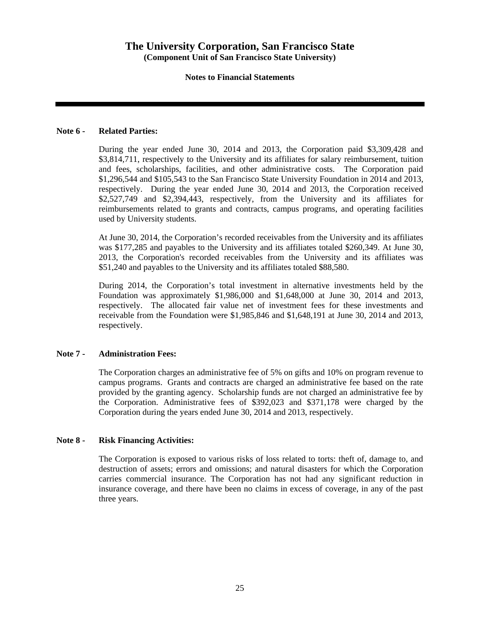#### **Notes to Financial Statements**

#### **Note 6 - Related Parties:**

During the year ended June 30, 2014 and 2013, the Corporation paid \$3,309,428 and \$3,814,711, respectively to the University and its affiliates for salary reimbursement, tuition and fees, scholarships, facilities, and other administrative costs. The Corporation paid \$1,296,544 and \$105,543 to the San Francisco State University Foundation in 2014 and 2013, respectively. During the year ended June 30, 2014 and 2013, the Corporation received \$2,527,749 and \$2,394,443, respectively, from the University and its affiliates for reimbursements related to grants and contracts, campus programs, and operating facilities used by University students.

At June 30, 2014, the Corporation's recorded receivables from the University and its affiliates was \$177,285 and payables to the University and its affiliates totaled \$260,349. At June 30, 2013, the Corporation's recorded receivables from the University and its affiliates was \$51,240 and payables to the University and its affiliates totaled \$88,580.

During 2014, the Corporation's total investment in alternative investments held by the Foundation was approximately \$1,986,000 and \$1,648,000 at June 30, 2014 and 2013, respectively. The allocated fair value net of investment fees for these investments and receivable from the Foundation were \$1,985,846 and \$1,648,191 at June 30, 2014 and 2013, respectively.

#### **Note 7 - Administration Fees:**

The Corporation charges an administrative fee of 5% on gifts and 10% on program revenue to campus programs. Grants and contracts are charged an administrative fee based on the rate provided by the granting agency. Scholarship funds are not charged an administrative fee by the Corporation. Administrative fees of \$392,023 and \$371,178 were charged by the Corporation during the years ended June 30, 2014 and 2013, respectively.

#### **Note 8 - Risk Financing Activities:**

The Corporation is exposed to various risks of loss related to torts: theft of, damage to, and destruction of assets; errors and omissions; and natural disasters for which the Corporation carries commercial insurance. The Corporation has not had any significant reduction in insurance coverage, and there have been no claims in excess of coverage, in any of the past three years.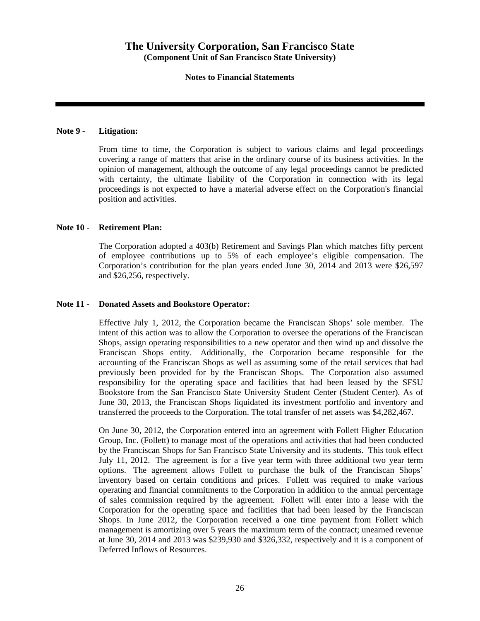#### **Notes to Financial Statements**

## **Note 9 - Litigation:**

From time to time, the Corporation is subject to various claims and legal proceedings covering a range of matters that arise in the ordinary course of its business activities. In the opinion of management, although the outcome of any legal proceedings cannot be predicted with certainty, the ultimate liability of the Corporation in connection with its legal proceedings is not expected to have a material adverse effect on the Corporation's financial position and activities.

#### **Note 10 - Retirement Plan:**

The Corporation adopted a 403(b) Retirement and Savings Plan which matches fifty percent of employee contributions up to 5% of each employee's eligible compensation. The Corporation's contribution for the plan years ended June 30, 2014 and 2013 were \$26,597 and \$26,256, respectively.

#### **Note 11 - Donated Assets and Bookstore Operator:**

Effective July 1, 2012, the Corporation became the Franciscan Shops' sole member. The intent of this action was to allow the Corporation to oversee the operations of the Franciscan Shops, assign operating responsibilities to a new operator and then wind up and dissolve the Franciscan Shops entity. Additionally, the Corporation became responsible for the accounting of the Franciscan Shops as well as assuming some of the retail services that had previously been provided for by the Franciscan Shops. The Corporation also assumed responsibility for the operating space and facilities that had been leased by the SFSU Bookstore from the San Francisco State University Student Center (Student Center). As of June 30, 2013, the Franciscan Shops liquidated its investment portfolio and inventory and transferred the proceeds to the Corporation. The total transfer of net assets was \$4,282,467.

On June 30, 2012, the Corporation entered into an agreement with Follett Higher Education Group, Inc. (Follett) to manage most of the operations and activities that had been conducted by the Franciscan Shops for San Francisco State University and its students. This took effect July 11, 2012. The agreement is for a five year term with three additional two year term options. The agreement allows Follett to purchase the bulk of the Franciscan Shops' inventory based on certain conditions and prices. Follett was required to make various operating and financial commitments to the Corporation in addition to the annual percentage of sales commission required by the agreement. Follett will enter into a lease with the Corporation for the operating space and facilities that had been leased by the Franciscan Shops. In June 2012, the Corporation received a one time payment from Follett which management is amortizing over 5 years the maximum term of the contract; unearned revenue at June 30, 2014 and 2013 was \$239,930 and \$326,332, respectively and it is a component of Deferred Inflows of Resources.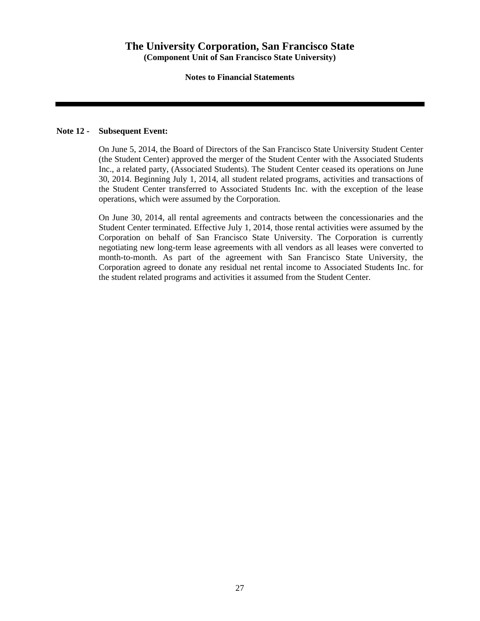#### **Notes to Financial Statements**

#### **Note 12 - Subsequent Event:**

On June 5, 2014, the Board of Directors of the San Francisco State University Student Center (the Student Center) approved the merger of the Student Center with the Associated Students Inc., a related party, (Associated Students). The Student Center ceased its operations on June 30, 2014. Beginning July 1, 2014, all student related programs, activities and transactions of the Student Center transferred to Associated Students Inc. with the exception of the lease operations, which were assumed by the Corporation.

On June 30, 2014, all rental agreements and contracts between the concessionaries and the Student Center terminated. Effective July 1, 2014, those rental activities were assumed by the Corporation on behalf of San Francisco State University. The Corporation is currently negotiating new long-term lease agreements with all vendors as all leases were converted to month-to-month. As part of the agreement with San Francisco State University, the Corporation agreed to donate any residual net rental income to Associated Students Inc. for the student related programs and activities it assumed from the Student Center.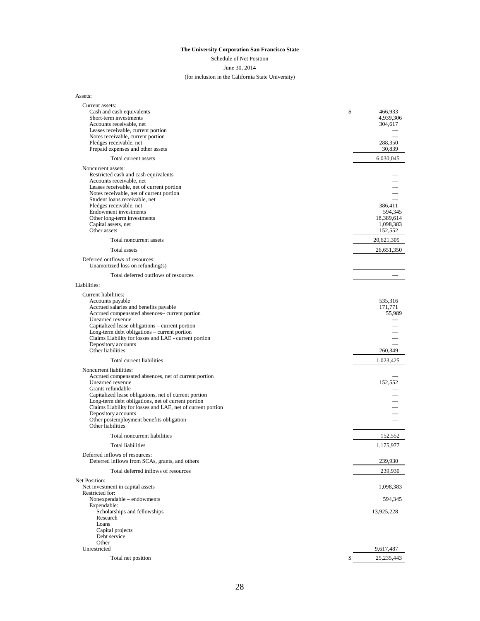#### **The University Corporation San Francisco State**

Schedule of Net Position

June 30, 2014

(for inclusion in the California State University)

| Assets:                                                                                                                                                                                                                                                              |                                                            |
|----------------------------------------------------------------------------------------------------------------------------------------------------------------------------------------------------------------------------------------------------------------------|------------------------------------------------------------|
| Current assets:<br>Cash and cash equivalents<br>Short-term investments<br>Accounts receivable, net<br>Leases receivable, current portion<br>Notes receivable, current portion<br>Pledges receivable, net<br>Prepaid expenses and other assets                        | \$<br>466,933<br>4,939,306<br>304,617<br>288,350<br>30,839 |
| Total current assets                                                                                                                                                                                                                                                 | 6,030,045                                                  |
| Noncurrent assets:<br>Restricted cash and cash equivalents<br>Accounts receivable, net<br>Leases receivable, net of current portion<br>Notes receivable, net of current portion<br>Student loans receivable, net<br>Pledges receivable, net<br>Endowment investments | 386,411<br>594,345                                         |
| Other long-term investments                                                                                                                                                                                                                                          | 18,389,614                                                 |
| Capital assets, net<br>Other assets                                                                                                                                                                                                                                  | 1,098,383<br>152,552                                       |
| Total noncurrent assets                                                                                                                                                                                                                                              | 20,621,305                                                 |
| Total assets                                                                                                                                                                                                                                                         | 26,651,350                                                 |
| Deferred outflows of resources:<br>Unamortized loss on refunding(s)                                                                                                                                                                                                  |                                                            |
| Total deferred outflows of resources                                                                                                                                                                                                                                 |                                                            |
| Liabilities:                                                                                                                                                                                                                                                         |                                                            |
| Current liabilities:<br>Accounts payable<br>Accrued salaries and benefits payable<br>Accrued compensated absences- current portion<br>Unearned revenue                                                                                                               | 535,316<br>171,771<br>55,989                               |
| Capitalized lease obligations – current portion<br>Long-term debt obligations - current portion<br>Claims Liability for losses and LAE - current portion<br>Depository accounts<br>Other liabilities                                                                 | 260,349                                                    |
| Total current liabilities                                                                                                                                                                                                                                            | 1,023,425                                                  |
| Noncurrent liabilities:<br>Accrued compensated absences, net of current portion<br>Unearned revenue<br>Grants refundable<br>Capitalized lease obligations, net of current portion                                                                                    | 152,552                                                    |
| Long-term debt obligations, net of current portion<br>Claims Liability for losses and LAE, net of current portion<br>Depository accounts                                                                                                                             |                                                            |
| Other postemployment benefits obligation<br>Other liabilities                                                                                                                                                                                                        |                                                            |
| Total noncurrent liabilities                                                                                                                                                                                                                                         | 152,552                                                    |
| <b>Total liabilities</b>                                                                                                                                                                                                                                             | 1,175,977                                                  |
| Deferred inflows of resources:<br>Deferred inflows from SCAs, grants, and others                                                                                                                                                                                     | 239,930                                                    |
| Total deferred inflows of resources                                                                                                                                                                                                                                  | 239,930                                                    |
| Net Position:                                                                                                                                                                                                                                                        |                                                            |
| Net investment in capital assets<br>Restricted for:                                                                                                                                                                                                                  | 1,098,383                                                  |
| Nonexpendable - endowments<br>Expendable:<br>Scholarships and fellowships                                                                                                                                                                                            | 594,345<br>13,925,228                                      |
| Research<br>Loans<br>Capital projects<br>Debt service<br>Other                                                                                                                                                                                                       |                                                            |
| Unrestricted                                                                                                                                                                                                                                                         | 9,617,487                                                  |
| Total net position                                                                                                                                                                                                                                                   | \$<br>25, 235, 443                                         |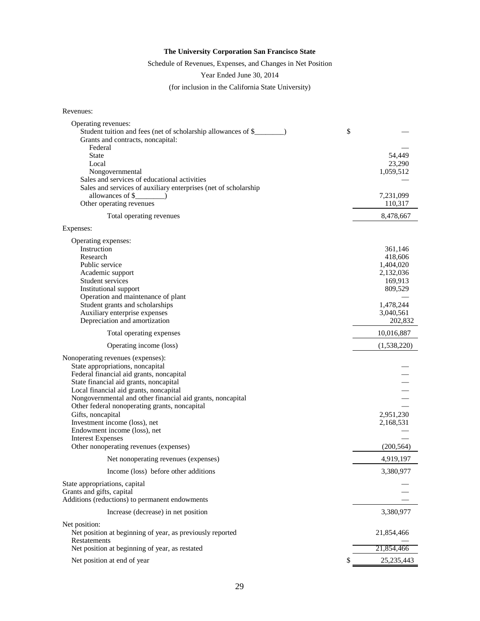#### **The University Corporation San Francisco State**

Schedule of Revenues, Expenses, and Changes in Net Position

Year Ended June 30, 2014

(for inclusion in the California State University)

| Revenues: |  |
|-----------|--|
|           |  |

| Operating revenues:<br>Student tuition and fees (net of scholarship allowances of \$_________)<br>Grants and contracts, noncapital:<br>Federal | \$           |
|------------------------------------------------------------------------------------------------------------------------------------------------|--------------|
| <b>State</b>                                                                                                                                   | 54,449       |
| Local                                                                                                                                          | 23,290       |
| Nongovernmental                                                                                                                                | 1,059,512    |
| Sales and services of educational activities                                                                                                   |              |
| Sales and services of auxiliary enterprises (net of scholarship                                                                                |              |
| allowances of \$                                                                                                                               | 7,231,099    |
| Other operating revenues                                                                                                                       | 110,317      |
| Total operating revenues                                                                                                                       | 8,478,667    |
| Expenses:                                                                                                                                      |              |
| Operating expenses:                                                                                                                            |              |
| Instruction                                                                                                                                    | 361,146      |
| Research                                                                                                                                       | 418,606      |
| Public service                                                                                                                                 | 1,404,020    |
| Academic support                                                                                                                               | 2,132,036    |
| Student services                                                                                                                               | 169,913      |
| Institutional support                                                                                                                          | 809,529      |
| Operation and maintenance of plant                                                                                                             | 1,478,244    |
| Student grants and scholarships<br>Auxiliary enterprise expenses                                                                               | 3,040,561    |
| Depreciation and amortization                                                                                                                  | 202,832      |
| Total operating expenses                                                                                                                       | 10,016,887   |
| Operating income (loss)                                                                                                                        | (1,538,220)  |
| Nonoperating revenues (expenses):<br>State appropriations, noncapital                                                                          |              |
| Federal financial aid grants, noncapital                                                                                                       |              |
| State financial aid grants, noncapital                                                                                                         |              |
| Local financial aid grants, noncapital                                                                                                         |              |
| Nongovernmental and other financial aid grants, noncapital                                                                                     |              |
| Other federal nonoperating grants, noncapital                                                                                                  |              |
| Gifts, noncapital                                                                                                                              | 2,951,230    |
| Investment income (loss), net                                                                                                                  | 2,168,531    |
| Endowment income (loss), net                                                                                                                   |              |
| <b>Interest Expenses</b><br>Other nonoperating revenues (expenses)                                                                             | (200, 564)   |
| Net nonoperating revenues (expenses)                                                                                                           | 4,919,197    |
| Income (loss) before other additions                                                                                                           | 3,380,977    |
| State appropriations, capital                                                                                                                  |              |
| Grants and gifts, capital                                                                                                                      |              |
| Additions (reductions) to permanent endowments                                                                                                 |              |
| Increase (decrease) in net position                                                                                                            | 3,380,977    |
| Net position:                                                                                                                                  |              |
| Net position at beginning of year, as previously reported<br>Restatements                                                                      | 21,854,466   |
| Net position at beginning of year, as restated                                                                                                 | 21,854,466   |
| Net position at end of year                                                                                                                    | 25, 235, 443 |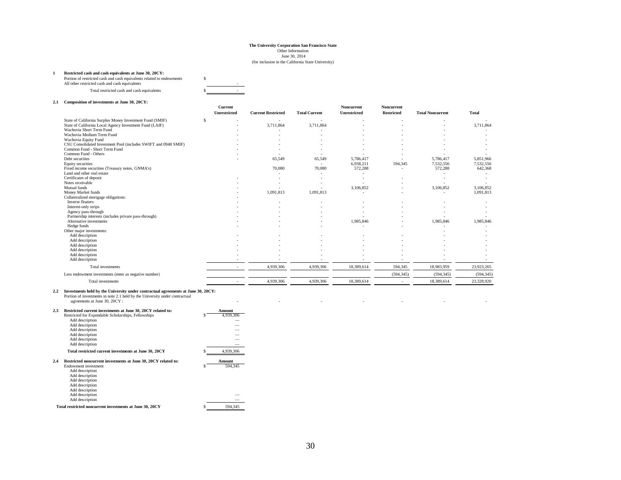June 30, 2014

(for inclusion in the California State University)

#### **1 Restricted cash and cash equivalents at June 30, 20CY:**

Portion of restricted cash and cash equivalents related to endowments \$<br>All other restricted cash and cash equivalents Total restricted cash and cash equivalents \$

#### **2.1 Composition of investments at June 30, 20CY:**

| Composition of investments at June 30, 20CY:                              | Current      |                           |                          | Noncurrent   | Noncurrent        |                         |            |
|---------------------------------------------------------------------------|--------------|---------------------------|--------------------------|--------------|-------------------|-------------------------|------------|
|                                                                           | Unrestricted | <b>Current Restricted</b> | <b>Total Current</b>     | Unrestricted | <b>Restricted</b> | <b>Total Noncurrent</b> | Total      |
| State of California Surplus Money Investment Fund (SMIF)<br>$\mathcal{S}$ |              |                           | ٠                        |              |                   |                         |            |
| State of California Local Agency Investment Fund (LAIF)                   |              | 3,711,864                 | 3,711,864                |              |                   |                         | 3,711,864  |
| Wachovia Short Term Fund                                                  |              |                           |                          |              |                   |                         |            |
| Wachovia Medium Term Fund                                                 |              |                           |                          |              |                   |                         |            |
| Wachovia Equity Fund                                                      |              |                           |                          |              |                   |                         |            |
| CSU Consolidated Investment Pool (includes SWIFT and 0948 SMIF)           |              |                           |                          |              |                   |                         |            |
| Common Fund - Short Term Fund                                             |              |                           |                          |              |                   |                         |            |
| Common Fund - Others                                                      |              |                           |                          |              |                   |                         |            |
| Debt securities                                                           |              | 65,549                    | 65,549                   | 5,786,417    |                   | 5,786,417               | 5,851,966  |
| Equity securities                                                         |              |                           | $\overline{\phantom{a}}$ | 6,938,211    | 594,345           | 7,532,556               | 7,532,556  |
| Fixed income securities (Treasury notes, GNMA's)                          |              | 70,080                    | 70,080                   | 572,288      |                   | 572,288                 | 642,368    |
| Land and other real estate                                                |              |                           |                          |              |                   |                         |            |
| Certificates of deposit                                                   |              |                           |                          |              |                   |                         |            |
| Notes receivable                                                          |              |                           |                          |              |                   |                         |            |
| Mutual funds                                                              |              |                           |                          | 3,106,852    |                   | 3,106,852               | 3.106.852  |
| Money Market funds                                                        |              | 1,091,813                 | 1,091,813                |              |                   |                         | 1,091,813  |
| Collateralized mortgage obligations:                                      |              |                           |                          |              |                   |                         |            |
| Inverse floaters                                                          |              |                           |                          |              |                   |                         |            |
| Interest-only strips                                                      |              |                           |                          |              |                   |                         |            |
| Agency pass-through                                                       |              |                           |                          |              |                   |                         |            |
| Partnership interests (includes private pass-through)                     |              |                           |                          |              |                   |                         |            |
| Alternative investments                                                   |              |                           |                          | 1,985,846    |                   | 1,985,846               | 1,985,846  |
| Hedge funds                                                               |              |                           |                          |              |                   |                         |            |
| Other major investments:                                                  |              |                           |                          |              |                   |                         |            |
| Add description                                                           |              |                           |                          |              |                   |                         |            |
| Add description                                                           |              |                           |                          |              |                   |                         |            |
| Add description                                                           |              |                           |                          |              |                   |                         |            |
| Add description                                                           |              |                           |                          |              |                   |                         |            |
| Add description                                                           |              |                           |                          |              |                   |                         |            |
| Add description                                                           |              |                           |                          |              |                   |                         |            |
| Total investments                                                         |              | 4,939,306                 | 4,939,306                | 18,389,614   | 594,345           | 18,983,959              | 23,923,265 |
| Less endowment investments (enter as negative number)                     |              |                           |                          |              | (594, 345)        | (594, 345)              | (594, 345) |
| Total investments                                                         |              | 4,939,306                 | 4,939,306                | 18,389,614   |                   | 18,389,614              | 23,328,920 |

#### **2.2 Investments held by the University under contractual agreements at June 30, 20CY:**<br>Portion of investments in note 2.1 held by the University under contractual

| agreements at June 30, 20CY:                                                                                                                       |        |  |  |  |
|----------------------------------------------------------------------------------------------------------------------------------------------------|--------|--|--|--|
| 2.3 Restricted current investments at June 30, 20CY related to:<br>the contract of the contract of the contract of the contract of the contract of | Amount |  |  |  |

|     | Restricted for Expendable Scholarships, Fellowships            | S | 4.939.306     |
|-----|----------------------------------------------------------------|---|---------------|
|     | Add description                                                |   |               |
|     | Add description                                                |   |               |
|     | Add description                                                |   |               |
|     | Add description                                                |   |               |
|     | Add description                                                |   |               |
|     | Add description                                                |   |               |
|     | Total restricted current investments at June 30, 20CY          |   | 4,939,306     |
| 2.4 | Restricted noncurrent investments at June 30, 20CY related to: |   | <b>Amount</b> |
|     | Endowment investment                                           | S | 594.345       |
|     | Add description                                                |   |               |
|     | Add description                                                |   |               |
|     | Add description                                                |   |               |
|     | Add description                                                |   |               |
|     | Add description                                                |   |               |
|     | Add description                                                |   |               |
|     | Add description                                                |   |               |
|     | Total restricted noncurrent investments at June 30, 20CY       |   | 594.345       |
|     |                                                                |   |               |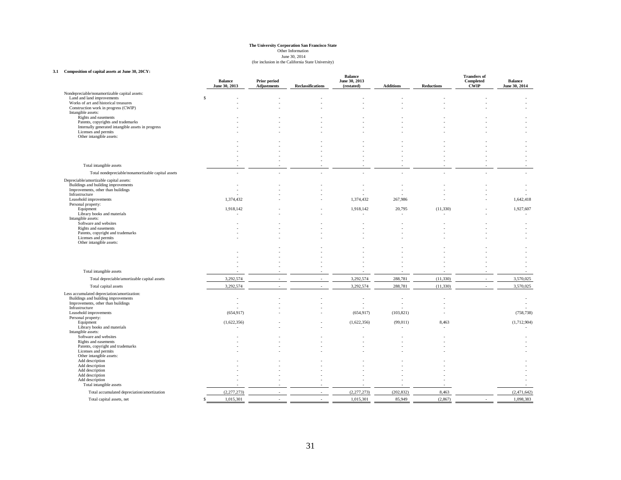June 30, 2014

(for inclusion in the California State University)

#### **3.1 Composition of capital assets at June 30, 20CY:**

| Composition of capital assets at June 50, 20C 1:                              | <b>Balance</b><br>June 30, 2013 | Prior period<br><b>Adjustments</b> | <b>Reclassifications</b> | <b>Balance</b><br>June 30, 2013<br>(restated) | <b>Additions</b> | <b>Reductions</b> | <b>Transfers of</b><br>Completed<br><b>CWIP</b> | <b>Balance</b><br>June 30, 2014 |
|-------------------------------------------------------------------------------|---------------------------------|------------------------------------|--------------------------|-----------------------------------------------|------------------|-------------------|-------------------------------------------------|---------------------------------|
| Nondepreciable/nonamortizable capital assets:                                 |                                 |                                    |                          |                                               |                  |                   |                                                 |                                 |
| Land and land improvements                                                    | $\mathcal{S}$                   |                                    |                          |                                               |                  |                   |                                                 |                                 |
| Works of art and historical treasures<br>Construction work in progress (CWIP) |                                 |                                    |                          |                                               |                  |                   |                                                 |                                 |
| Intangible assets:                                                            |                                 |                                    |                          |                                               |                  |                   |                                                 |                                 |
| Rights and easements                                                          |                                 |                                    |                          |                                               |                  |                   |                                                 |                                 |
| Patents, copyrights and trademarks                                            |                                 |                                    |                          |                                               |                  |                   |                                                 |                                 |
| Internally generated intangible assets in progress                            |                                 |                                    |                          |                                               |                  |                   |                                                 |                                 |
| Licenses and permits<br>Other intangible assets:                              |                                 |                                    |                          |                                               |                  |                   |                                                 |                                 |
|                                                                               |                                 |                                    |                          |                                               |                  |                   |                                                 |                                 |
|                                                                               |                                 |                                    |                          |                                               |                  |                   |                                                 |                                 |
|                                                                               |                                 |                                    |                          |                                               |                  |                   |                                                 |                                 |
|                                                                               |                                 |                                    |                          |                                               |                  |                   |                                                 |                                 |
| Total intangible assets                                                       |                                 |                                    |                          |                                               |                  |                   |                                                 |                                 |
|                                                                               |                                 |                                    |                          |                                               |                  |                   |                                                 |                                 |
| Total nondepreciable/nonamortizable capital assets                            |                                 |                                    |                          |                                               |                  |                   |                                                 |                                 |
| Depreciable/amortizable capital assets:                                       |                                 |                                    |                          |                                               |                  |                   |                                                 |                                 |
| Buildings and building improvements<br>Improvements, other than buildings     |                                 |                                    |                          |                                               |                  |                   |                                                 |                                 |
| Infrastructure                                                                |                                 |                                    |                          |                                               |                  |                   |                                                 |                                 |
| Leasehold improvements                                                        | 1,374,432                       |                                    |                          | 1,374,432                                     | 267,986          |                   |                                                 | 1,642,418                       |
| Personal property:                                                            |                                 |                                    |                          |                                               |                  |                   |                                                 |                                 |
| Equipment<br>Library books and materials                                      | 1,918,142                       |                                    |                          | 1,918,142                                     | 20,795           | (11, 330)         |                                                 | 1,927,607                       |
| Intangible assets:                                                            |                                 |                                    |                          |                                               |                  |                   |                                                 |                                 |
| Software and websites                                                         |                                 |                                    |                          |                                               |                  |                   |                                                 |                                 |
| Rights and easements                                                          |                                 |                                    |                          |                                               |                  |                   |                                                 |                                 |
| Patents, copyright and trademarks                                             |                                 |                                    |                          |                                               |                  |                   |                                                 |                                 |
| Licenses and permits<br>Other intangible assets:                              |                                 |                                    |                          |                                               |                  |                   |                                                 |                                 |
|                                                                               |                                 |                                    |                          |                                               |                  |                   |                                                 |                                 |
|                                                                               |                                 |                                    |                          |                                               |                  |                   |                                                 |                                 |
|                                                                               |                                 |                                    |                          |                                               |                  |                   |                                                 |                                 |
|                                                                               |                                 |                                    |                          |                                               |                  |                   |                                                 |                                 |
| Total intangible assets                                                       |                                 |                                    |                          |                                               |                  |                   |                                                 |                                 |
| Total depreciable/amortizable capital assets                                  | 3,292,574                       |                                    |                          | 3,292,574                                     | 288,781          | (11, 330)         |                                                 | 3,570,025                       |
|                                                                               |                                 |                                    |                          |                                               |                  |                   |                                                 |                                 |
| Total capital assets                                                          | 3,292,574                       |                                    |                          | 3,292,574                                     | 288,781          | (11, 330)         |                                                 | 3,570,025                       |
| Less accumulated depreciation/amortization:                                   |                                 |                                    |                          |                                               |                  |                   |                                                 |                                 |
| Buildings and building improvements<br>Improvements, other than buildings     |                                 |                                    |                          |                                               |                  |                   |                                                 |                                 |
| Infrastructure                                                                |                                 |                                    |                          |                                               |                  |                   |                                                 |                                 |
| Leasehold improvements                                                        | (654, 917)                      |                                    |                          | (654, 917)                                    | (103, 821)       |                   |                                                 | (758, 738)                      |
| Personal property:                                                            |                                 |                                    |                          |                                               |                  |                   |                                                 |                                 |
| Equipment<br>Library books and materials                                      | (1,622,356)                     |                                    |                          | (1,622,356)                                   | (99, 011)        | 8,463             |                                                 | (1,712,904)                     |
| Intangible assets:                                                            |                                 |                                    |                          |                                               |                  |                   |                                                 |                                 |
| Software and websites                                                         |                                 |                                    |                          |                                               |                  |                   |                                                 |                                 |
| Rights and easements                                                          |                                 |                                    |                          |                                               |                  |                   |                                                 |                                 |
| Patents, copyright and trademarks                                             |                                 |                                    |                          |                                               |                  |                   |                                                 |                                 |
| Licenses and permits<br>Other intangible assets:                              |                                 |                                    |                          |                                               |                  |                   |                                                 |                                 |
| Add description                                                               |                                 |                                    |                          |                                               |                  |                   |                                                 |                                 |
| Add description                                                               |                                 |                                    |                          |                                               |                  |                   |                                                 |                                 |
| Add description                                                               |                                 |                                    |                          |                                               |                  |                   |                                                 |                                 |
| Add description                                                               |                                 |                                    |                          |                                               |                  |                   |                                                 |                                 |
| Add description<br>Total intangible assets                                    |                                 |                                    |                          |                                               |                  |                   |                                                 |                                 |
|                                                                               |                                 |                                    |                          |                                               |                  |                   |                                                 |                                 |
| Total accumulated depreciation/amortization                                   | (2,277,273)                     |                                    |                          | (2,277,273)                                   | (202, 832)       | 8,463             |                                                 | (2,471,642)                     |
| Total capital assets, net                                                     | 1,015,301                       |                                    | ÷.                       | 1,015,301                                     | 85,949           | (2,867)           | $\sim$                                          | 1.098.383                       |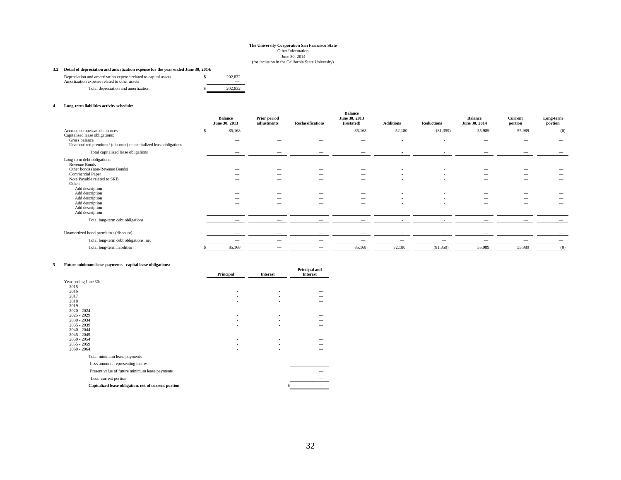June 30, 2014

(for inclusion in the California State University)

#### **3.2 Detail of depreciation and amortization expense for the year ended June 30, 2014:**

| Depreciation and amortization expense related to capital assets<br>Amortization expense related to other assets | 202.832 |
|-----------------------------------------------------------------------------------------------------------------|---------|
| Total depreciation and amortization                                                                             | 202.832 |

#### **4 Long-term liabilities activity schedule:**

|                                                                   | <b>Balance</b><br>June 30, 2013 | Prior period<br>adjustments | <b>Reclassifications</b>        | <b>Balance</b><br>June 30, 2013<br>(restated) | <b>Additions</b>         | <b>Reductions</b>        | <b>Balance</b><br>June 30, 2014 | Current<br>portion              | Long-term<br>portion     |
|-------------------------------------------------------------------|---------------------------------|-----------------------------|---------------------------------|-----------------------------------------------|--------------------------|--------------------------|---------------------------------|---------------------------------|--------------------------|
| Accrued compensated absences<br>Capitalized lease obligations:    | 85,168                          | -                           |                                 | 85,168                                        | 52,180                   | (81, 359)                | 55,989                          | 55,989                          | (0)                      |
| Gross balance                                                     | $\overline{\phantom{a}}$        |                             |                                 | $\overline{\phantom{a}}$                      | <b>100</b>               | ٠                        | --                              |                                 |                          |
| Unamortized premium / (discount) on capitalized lease obligations | $\overline{\phantom{a}}$        |                             |                                 |                                               |                          | $\overline{\phantom{a}}$ |                                 |                                 |                          |
| Total capitalized lease obligations                               | __                              | --                          |                                 |                                               |                          |                          |                                 |                                 |                          |
| Long-term debt obligations:                                       |                                 |                             |                                 |                                               |                          |                          |                                 |                                 |                          |
| Revenue Bonds                                                     |                                 |                             |                                 | $\overline{\phantom{a}}$                      |                          |                          |                                 |                                 |                          |
| Other bonds (non-Revenue Bonds)                                   | __                              | -                           |                                 | $\hspace{0.1mm}-\hspace{0.1mm}$               | <b>.</b>                 | з.                       |                                 | $\hspace{0.1mm}-\hspace{0.1mm}$ |                          |
| Commercial Paper                                                  |                                 | -                           | --                              |                                               |                          |                          | -                               | $\overline{\phantom{a}}$        | -                        |
| Note Payable related to SRB                                       | –                               | —                           | $\overline{\phantom{0}}$        | $\overline{\phantom{m}}$                      |                          | ۰                        |                                 |                                 |                          |
| Other:                                                            |                                 |                             |                                 |                                               |                          |                          |                                 |                                 |                          |
| Add description                                                   | $\overline{\phantom{a}}$        | --                          | $\overline{\phantom{a}}$        | $\overline{\phantom{m}}$                      | $\overline{\phantom{a}}$ | ٠                        |                                 |                                 | -                        |
| Add description                                                   | __                              | --                          | -                               | $\overline{\phantom{m}}$                      |                          |                          | -                               | $\overline{\phantom{m}}$        | -                        |
| Add description                                                   |                                 | --                          |                                 | $\hspace{0.1mm}-\hspace{0.1mm}$               |                          |                          |                                 | $\hspace{0.1mm}-\hspace{0.1mm}$ | -                        |
| Add description                                                   | __                              | --                          | $\overline{\phantom{m}}$        | $\overline{\phantom{m}}$                      | $\overline{\phantom{a}}$ | ۰                        |                                 |                                 | $\overline{\phantom{a}}$ |
| Add description                                                   | $\overline{\phantom{a}}$        | --                          | -                               | $\overline{\phantom{m}}$                      |                          |                          | -                               | $\overline{\phantom{a}}$        | -                        |
| Add description                                                   | $\overline{\phantom{m}}$        |                             | $\hspace{0.1mm}-\hspace{0.1mm}$ | $\hspace{0.1mm}-\hspace{0.1mm}$               | $\overline{\phantom{a}}$ | ۰                        |                                 | $\hspace{0.1mm}-\hspace{0.1mm}$ |                          |
| Total long-term debt obligations                                  |                                 | —                           |                                 |                                               |                          |                          |                                 |                                 |                          |
| Unamortized bond premium / (discount)                             |                                 | --                          | _                               | $\overline{\phantom{a}}$                      |                          |                          |                                 |                                 |                          |
| Total long-term debt obligations, net                             |                                 |                             |                                 | $\hspace{0.1mm}-\hspace{0.1mm}$               | $\qquad \qquad$          |                          |                                 | $\hspace{0.1mm}-\hspace{0.1mm}$ |                          |
|                                                                   |                                 |                             |                                 |                                               |                          |                          |                                 |                                 |                          |
| Total long-term liabilities                                       | 85,168                          |                             | $\overline{\phantom{0}}$        | 85,168                                        | 52,180                   | (81, 359)                | 55,989                          | 55,989                          | (0)                      |

#### **5 Future minimum lease payments - capital lease obligations:**

| Future minimum lease payments - capital lease obligations: |           |                 |                                  |
|------------------------------------------------------------|-----------|-----------------|----------------------------------|
|                                                            | Principal | <b>Interest</b> | Principal and<br><b>Interest</b> |
| Year ending June 30:                                       |           |                 |                                  |
| 2015                                                       |           |                 |                                  |
| 2016                                                       |           |                 |                                  |
| 2017                                                       |           |                 |                                  |
| 2018                                                       |           |                 |                                  |
| 2019                                                       |           |                 |                                  |
| $2020 - 2024$                                              |           |                 |                                  |
| $2025 - 2029$                                              |           |                 |                                  |
| $2030 - 2034$<br>$2035 - 2039$                             |           |                 |                                  |
| $2040 - 2044$                                              |           |                 |                                  |
| $2045 - 2049$                                              |           |                 |                                  |
| $2050 - 2054$                                              |           |                 |                                  |
| $2055 - 2059$                                              |           |                 |                                  |
| $2060 - 2064$                                              |           |                 |                                  |
| Total minimum lease payments                               |           |                 |                                  |
| Less amounts representing interest                         |           |                 |                                  |
| Present value of future minimum lease payments             |           |                 |                                  |
| Less: current portion                                      |           |                 |                                  |
| Capitalized lease obligation, net of current portion       |           |                 |                                  |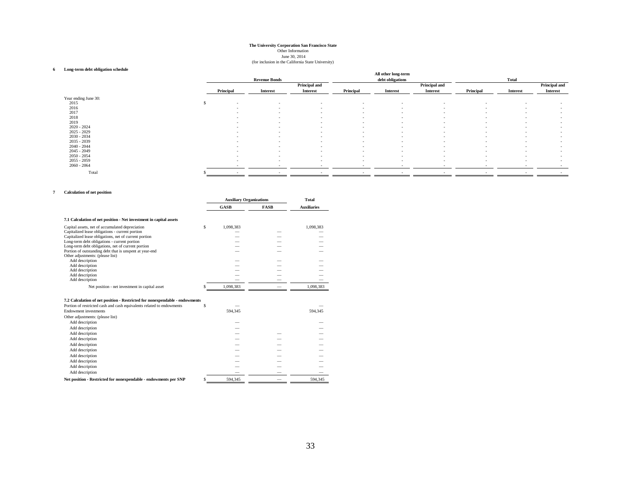June 30, 2014

(for inclusion in the California State University)

#### **6 Long-term debt obligation schedule**

| Long-term debt obligation schedule |   |                          |                          |                          |                          |                          |                          |                          |                          |                          |
|------------------------------------|---|--------------------------|--------------------------|--------------------------|--------------------------|--------------------------|--------------------------|--------------------------|--------------------------|--------------------------|
|                                    |   |                          |                          |                          |                          | All other long-term      |                          |                          |                          |                          |
|                                    |   |                          | <b>Revenue Bonds</b>     |                          |                          | debt obligations         |                          |                          | Total                    |                          |
|                                    |   |                          |                          | <b>Principal and</b>     |                          |                          | <b>Principal and</b>     |                          |                          | Principal and            |
|                                    |   | Principal                | <b>Interest</b>          | <b>Interest</b>          | Principal                | <b>Interest</b>          | <b>Interest</b>          | Principal                | Interest                 | <b>Interest</b>          |
| Year ending June 30:               |   |                          |                          |                          |                          |                          |                          |                          |                          |                          |
| 2015                               | ж | $\overline{\phantom{a}}$ | $\overline{\phantom{a}}$ | $\overline{\phantom{a}}$ | $\overline{\phantom{a}}$ | $\overline{\phantom{a}}$ | $\overline{\phantom{a}}$ | $\overline{\phantom{a}}$ | $\overline{\phantom{a}}$ | $\overline{\phantom{a}}$ |
| 2016                               |   | $\overline{\phantom{a}}$ | $\overline{\phantom{a}}$ | $\overline{\phantom{a}}$ | $\overline{\phantom{a}}$ | $\overline{\phantom{a}}$ | $\overline{\phantom{a}}$ | $\overline{\phantom{a}}$ | $\overline{\phantom{a}}$ | $\sim$                   |
| 2017                               |   | $\sim$                   | $\overline{\phantom{a}}$ | $\overline{\phantom{a}}$ | $\overline{\phantom{a}}$ | $\overline{\phantom{a}}$ | $\overline{\phantom{a}}$ | $\overline{\phantom{a}}$ | $\overline{\phantom{a}}$ | $\overline{\phantom{a}}$ |
| 2018                               |   | $\overline{\phantom{a}}$ | $\overline{\phantom{a}}$ | $\sim$                   | $\overline{\phantom{a}}$ | $\overline{\phantom{a}}$ | $\overline{\phantom{a}}$ | $\overline{\phantom{a}}$ | $\sim$                   | $\overline{\phantom{a}}$ |
| 2019                               |   | $\overline{\phantom{a}}$ | $\overline{\phantom{a}}$ | $\overline{\phantom{a}}$ | $\overline{\phantom{a}}$ | $\overline{\phantom{a}}$ | $\overline{\phantom{a}}$ | $\overline{\phantom{0}}$ | $\sim$                   | $\sim$                   |
| $2020 - 2024$                      |   | $\overline{\phantom{a}}$ | $\overline{\phantom{a}}$ | $\overline{\phantom{a}}$ | $\overline{\phantom{a}}$ | $\overline{\phantom{a}}$ | $\overline{\phantom{a}}$ | $\overline{\phantom{a}}$ | $\overline{\phantom{a}}$ | $\overline{\phantom{a}}$ |
| $2025 - 2029$                      |   | $\sim$                   | $\overline{\phantom{a}}$ | $\overline{\phantom{a}}$ | $\overline{\phantom{a}}$ | $\overline{\phantom{a}}$ | $\overline{\phantom{a}}$ | $\overline{\phantom{a}}$ | $\sim$                   | $\overline{\phantom{a}}$ |
| 2030 - 2034                        |   | $\overline{\phantom{a}}$ | $\overline{\phantom{a}}$ | $\sim$                   | $\overline{\phantom{a}}$ | $\sim$                   | $\sim$                   | $\overline{\phantom{0}}$ | $\sim$                   | $\overline{\phantom{a}}$ |
| $2035 - 2039$                      |   | $\overline{\phantom{a}}$ | $\sim$                   | $\sim$                   | $\overline{\phantom{a}}$ | $\overline{\phantom{a}}$ | $\sim$                   | $\overline{\phantom{a}}$ | $\overline{\phantom{a}}$ | $\overline{\phantom{a}}$ |
| $2040 - 2044$                      |   | $\overline{\phantom{a}}$ | $\sim$                   | $\sim$                   | $\overline{\phantom{a}}$ | $\sim$                   | $\sim$                   | $\sim$                   | $\sim$                   | $\sim$                   |
| $2045 - 2049$                      |   | $\overline{\phantom{a}}$ | $\sim$                   | $\sim$                   | $\overline{\phantom{a}}$ | $\sim$                   | $\sim$                   | $\overline{\phantom{a}}$ | $\sim$                   | $\overline{\phantom{a}}$ |
| $2050 - 2054$                      |   | $\overline{\phantom{a}}$ | $\sim$                   | $\sim$                   | $\overline{\phantom{a}}$ | $\overline{\phantom{a}}$ | $\overline{\phantom{a}}$ | $\overline{\phantom{a}}$ | $\overline{\phantom{a}}$ | $\overline{\phantom{a}}$ |
| $2055 - 2059$                      |   | $\overline{\phantom{a}}$ | $\sim$                   | $\sim$                   | $\overline{\phantom{a}}$ | $\overline{\phantom{a}}$ | $\sim$                   | $\overline{\phantom{a}}$ | $\sim$                   | $\overline{\phantom{a}}$ |
| $2060 - 2064$                      |   |                          |                          |                          |                          |                          |                          |                          |                          |                          |
|                                    |   |                          |                          |                          |                          |                          |                          |                          |                          |                          |
| Total                              |   |                          |                          | $\sim$                   |                          |                          |                          |                          |                          |                          |

#### **7 Calculation of net position**

|                                                                                             | <b>Auxiliary Organizations</b> |             | Total       |                    |
|---------------------------------------------------------------------------------------------|--------------------------------|-------------|-------------|--------------------|
|                                                                                             |                                | <b>GASB</b> | <b>FASB</b> | <b>Auxiliaries</b> |
| 7.1 Calculation of net position - Net investment in capital assets                          |                                |             |             |                    |
| Capital assets, net of accumulated depreciation                                             | S                              | 1.098.383   |             | 1,098,383          |
| Capitalized lease obligations - current portion                                             |                                |             |             |                    |
| Capitalized lease obligations, net of current portion                                       |                                |             |             |                    |
| Long-term debt obligations - current portion                                                |                                |             |             |                    |
| Long-term debt obligations, net of current portion                                          |                                |             |             |                    |
| Portion of outstanding debt that is unspent at year-end<br>Other adjustments: (please list) |                                |             |             |                    |
| Add description                                                                             |                                |             |             |                    |
| Add description                                                                             |                                |             |             |                    |
| Add description                                                                             |                                |             |             |                    |
| Add description                                                                             |                                |             |             |                    |
| Add description                                                                             |                                |             |             |                    |
| Net position - net investment in capital asset                                              |                                | 1,098,383   |             | 1,098,383          |
| 7.2 Calculation of net position - Restricted for nonexpendable - endowments                 |                                |             |             |                    |
| Portion of restricted cash and cash equivalents related to endowments                       | S                              |             |             |                    |
| Endowment investments                                                                       |                                | 594.345     |             | 594.345            |
| Other adjustments: (please list)                                                            |                                |             |             |                    |
| Add description                                                                             |                                |             |             |                    |
| Add description                                                                             |                                |             |             |                    |
| Add description                                                                             |                                |             |             |                    |
| Add description                                                                             |                                |             |             |                    |
| Add description                                                                             |                                |             |             |                    |
| Add description                                                                             |                                |             |             |                    |
| Add description                                                                             |                                |             |             |                    |
| Add description                                                                             |                                |             |             |                    |
| Add description                                                                             |                                |             |             |                    |
|                                                                                             |                                |             |             |                    |
| Add description                                                                             |                                |             |             |                    |
| Net position - Restricted for nonexpendable - endowments per SNP                            |                                | 594,345     |             | 594,345            |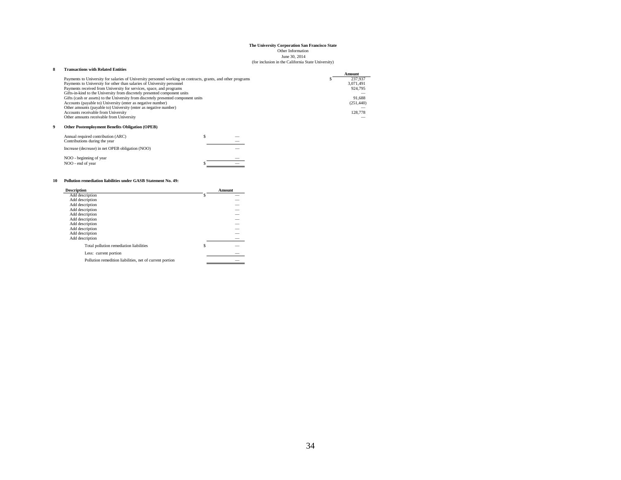June 30, 2014

(for inclusion in the California State University)

#### **8 Transactions with Related Entities**

|                                                                                                              | Amount     |
|--------------------------------------------------------------------------------------------------------------|------------|
| Payments to University for salaries of University personnel working on contracts, grants, and other programs | 237.937    |
| Payments to University for other than salaries of University personnel                                       | 3.071.491  |
| Payments received from University for services, space, and programs                                          | 924.795    |
| Gifts-in-kind to the University from discretely presented component units                                    |            |
| Gifts (cash or assets) to the University from discretely presented component units                           | 91.688     |
| Accounts (payable to) University (enter as negative number)                                                  | (251, 440) |
| Other amounts (payable to) University (enter as negative number)                                             |            |
| Accounts receivable from University                                                                          | 128,778    |
| Other amounts receivable from University                                                                     |            |
| <b>Other Postemployment Benefits Obligation (OPEB)</b>                                                       |            |
| Annual required contribution (ARC)                                                                           |            |
| Contributions during the year                                                                                |            |
| Increase (decrease) in net OPEB obligation (NOO)                                                             |            |
|                                                                                                              |            |

| NOO - beginning of year |  |
|-------------------------|--|
| NOO - end of year       |  |

#### **10 Pollution remediation liabilities under GASB Statement No. 49:**

| <b>Description</b>                                       | Amount |  |
|----------------------------------------------------------|--------|--|
| Add description                                          |        |  |
| Add description                                          |        |  |
| Add description                                          |        |  |
| Add description                                          |        |  |
| Add description                                          |        |  |
| Add description                                          |        |  |
| Add description                                          |        |  |
| Add description                                          |        |  |
| Add description                                          |        |  |
| Add description                                          |        |  |
| Total pollution remediation liabilities                  | \$     |  |
| Less: current portion                                    |        |  |
| Pollution remedition liabilities, net of current portion |        |  |